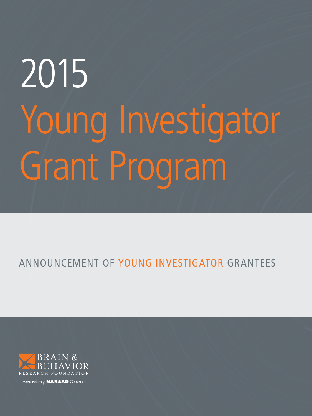# 2015 Young Investigator Grant Program

## ANNOUNCEMENT OF YOUNG INVESTIGATOR GRANTEES

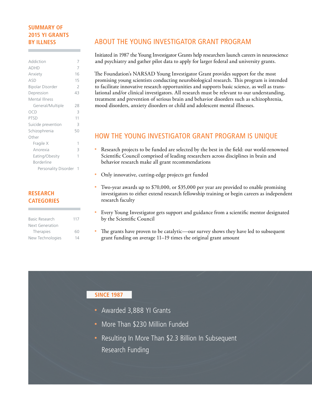#### **SUMMARY OF 2015 YI GRANTS BY ILLNESS**

| 7  |
|----|
| 16 |
| 15 |
| 2  |
| 43 |
|    |
| 28 |
| 3  |
| 11 |
| 3  |
| 50 |
|    |
| 1  |
| 3  |
| 1  |
|    |
|    |
|    |

#### **RESEARCH CATEGORIES**

| Basic Research   | 117 |
|------------------|-----|
| Next Generation  |     |
| Therapies        | 60  |
| New Technologies | 14  |

#### ABOUT THE YOUNG INVESTIGATOR GRANT PROGRAM

Initiated in 1987 the Young Investigator Grants help researchers launch careers in neuroscience and psychiatry and gather pilot data to apply for larger federal and university grants.

The Foundation's NARSAD Young Investigator Grant provides support for the most promising young scientists conducting neurobiological research. This program is intended to facilitate innovative research opportunities and supports basic science, as well as translational and/or clinical investigators. All research must be relevant to our understanding, treatment and prevention of serious brain and behavior disorders such as schizophrenia, mood disorders, anxiety disorders or child and adolescent mental illnesses.

#### HOW THE YOUNG INVESTIGATOR GRANT PROGRAM IS UNIQUE

- Research projects to be funded are selected by the best in the field: our world-renowned Scientific Council comprised of leading researchers across disciplines in brain and behavior research make all grant recommendations
- Only innovative, cutting-edge projects get funded
- Two-year awards up to \$70,000, or \$35,000 per year are provided to enable promising investigators to either extend research fellowship training or begin careers as independent research faculty
- Every Young Investigator gets support and guidance from a scientific mentor designated by the Scientific Council
- The grants have proven to be catalytic—our survey shows they have led to subsequent grant funding on average 11–19 times the original grant amount

#### **SINCE 1987**

- Awarded 3,888 YI Grants
- More Than \$230 Million Funded
- Resulting In More Than \$2.3 Billion In Subsequent Research Funding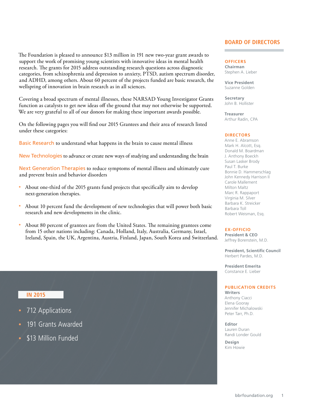The Foundation is pleased to announce \$13 million in 191 new two-year grant awards to support the work of promising young scientists with innovative ideas in mental health research. The grants for 2015 address outstanding research questions across diagnostic categories, from schizophrenia and depression to anxiety, PTSD, autism spectrum disorder, and ADHD, among others. About 60 percent of the projects funded are basic research, the wellspring of innovation in brain research as in all sciences.

Covering a broad spectrum of mental illnesses, these NARSAD Young Investigator Grants function as catalysts to get new ideas off the ground that may not otherwise be supported. We are very grateful to all of our donors for making these important awards possible.

On the following pages you will find our 2015 Grantees and their area of research listed under these categories:

Basic Research to understand what happens in the brain to cause mental illness

New Technologies to advance or create new ways of studying and understanding the brain

Next Generation Therapies to reduce symptoms of mental illness and ultimately cure and prevent brain and behavior disorders

- About one-third of the 2015 grants fund projects that specifically aim to develop next-generation therapies.
- About 10 percent fund the development of new technologies that will power both basic  $\bullet$ research and new developments in the clinic.
- $\bullet$ About 80 percent of grantees are from the United States. The remaining grantees come from 15 other nations including: Canada, Holland, Italy, Australia, Germany, Israel, Ireland, Spain, the UK, Argentina, Austria, Finland, Japan, South Korea and Switzerland.

#### **IN 2015**

- 712 Applications
- 191 Grants Awarded
- \$13 Million Funded

#### **BOARD OF DIRECTORS**

**OFFICERS Chairman** Stephen A. Lieber

**Vice President** Suzanne Golden

**Secretary** John B. Hollister

**Treasurer** Arthur Radin, CPA

#### **DIRECTORS**

Anne E. Abramson Mark H. Alcott, Esq. Donald M. Boardman J. Anthony Boeckh Susan Lasker Brody Paul T. Burke Bonnie D. Hammerschlag John Kennedy Harrison II Carole Mallement Milton Maltz Marc R. Rappaport Virginia M. Silver Barbara K. Streicker Barbara Toll Robert Weisman, Esq.

#### **EX-OFFICIO**

**President & CEO** Jeffrey Borenstein, M.D.

**President, Scientific Council** Herbert Pardes, M.D.

**President Emerita** Constance E. Lieber

#### **PUBLICATION CREDITS**

**Writers** Anthony Ciacci Elena Gooray Jennifer Michalowski Peter Tarr, Ph.D.

**Editor** Lauren Duran Randi Londer Gould

**Design** Kim Howie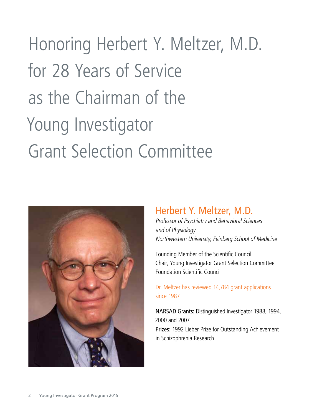## Honoring Herbert Y. Meltzer, M.D. for 28 Years of Service as the Chairman of the Young Investigator Grant Selection Committee



### Herbert Y. Meltzer, M.D.

Professor of Psychiatry and Behavioral Sciences and of Physiology Northwestern University, Feinberg School of Medicine

Founding Member of the Scientific Council Chair, Young Investigator Grant Selection Committee Foundation Scientific Council

#### Dr. Meltzer has reviewed 14,784 grant applications since 1987

NARSAD Grants: Distinguished Investigator 1988, 1994, 2000 and 2007 Prizes: 1992 Lieber Prize for Outstanding Achievement in Schizophrenia Research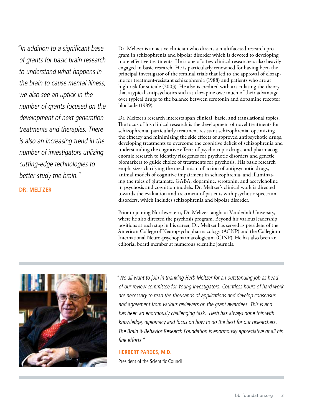"In addition to a significant base of grants for basic brain research to understand what happens in the brain to cause mental illness, we also see an uptick in the number of grants focused on the development of next generation treatments and therapies. There is also an increasing trend in the number of investigators utilizing cutting-edge technologies to better study the brain."

**DR. MELTZER**

Dr. Meltzer is an active clinician who directs a multifaceted research program in schizophrenia and bipolar disorder which is devoted to developing more effective treatments. He is one of a few clinical researchers also heavily engaged in basic research. He is particularly renowned for having been the principal investigator of the seminal trials that led to the approval of clozapine for treatment-resistant schizophrenia (1988) and patients who are at high risk for suicide (2003). He also is credited with articulating the theory that atypical antipsychotics such as clozapine owe much of their advantage over typical drugs to the balance between serotonin and dopamine receptor blockade (1989).

Dr. Meltzer's research interests span clinical, basic, and translational topics. The focus of his clinical research is the development of novel treatments for schizophrenia, particularly treatment resistant schizophrenia, optimizing the efficacy and minimizing the side effects of approved antipsychotic drugs, developing treatments to overcome the cognitive deficit of schizophrenia and understanding the cognitive effects of psychotropic drugs, and pharmacogenomic research to identify risk genes for psychotic disorders and genetic biomarkers to guide choice of treatments for psychosis. His basic research emphasizes clarifying the mechanism of action of antipsychotic drugs, animal models of cognitive impairment in schizophrenia, and illuminating the roles of glutamate, GABA, dopamine, serotonin, and acetylcholine in psychosis and cognition models. Dr. Meltzer's clinical work is directed towards the evaluation and treatment of patients with psychotic spectrum disorders, which includes schizophrenia and bipolar disorder.

Prior to joining Northwestern, Dr. Meltzer taught at Vanderbilt University, where he also directed the psychosis program. Beyond his various leadership positions at each stop in his career, Dr. Meltzer has served as president of the American College of Neuropsychopharmacology (ACNP) and the Collegium International Neuro-psychopharmacologicum (CINP). He has also been an editorial board member at numerous scientific journals.



"We all want to join in thanking Herb Meltzer for an outstanding job as head of our review committee for Young Investigators. Countless hours of hard work are necessary to read the thousands of applications and develop consensus and agreement from various reviewers on the grant awardees. This is and has been an enormously challenging task. Herb has always done this with knowledge, diplomacy and focus on how to do the best for our researchers. The Brain & Behavior Research Foundation is enormously appreciative of all his fine efforts<sup>"</sup>

#### **HERBERT PARDES, M.D.**

President of the Scientific Council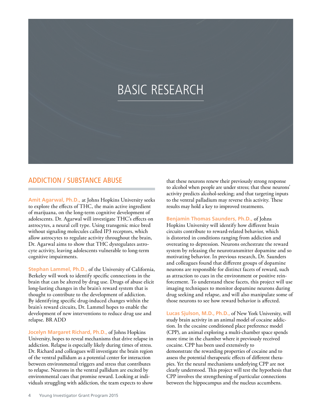## BASIC RESEARCH

#### ADDICTION / SUBSTANCE ABUSE

**Amit Agarwal, Ph.D.,** at Johns Hopkins University seeks to explore the effects of THC, the main active ingredient of marijuana, on the long-term cognitive development of adolescents. Dr. Agarwal will investigate THC's effects on astrocytes, a neural cell type. Using transgenic mice bred without signaling molecules called IP3 receptors, which allow astrocytes to regulate activity throughout the brain, Dr. Agarwal aims to show that THC dysregulates astrocyte activity, leaving adolescents vulnerable to long-term cognitive impairments.

**Stephan Lammel, Ph.D.,** of the University of California, Berkeley will work to identify specific connections in the brain that can be altered by drug use. Drugs of abuse elicit long-lasting changes in the brain's reward system that is thought to contribute to the development of addiction. By identifying specific drug-induced changes within the brain's reward circuits, Dr. Lammel hopes to enable the development of new interventions to reduce drug use and relapse. BR ADD

**Jocelyn Margaret Richard, Ph.D.,** of Johns Hopkins University, hopes to reveal mechanisms that drive relapse in addiction. Relapse is especially likely during times of stress. Dr. Richard and colleagues will investigate the brain region of the ventral pallidum as a potential center for interaction between environmental triggers and stress that contributes to relapse. Neurons in the ventral pallidum are excited by environmental cues that promise reward. Looking at individuals struggling with addiction, the team expects to show

that these neurons renew their previously strong response to alcohol when people are under stress; that these neurons' activity predicts alcohol-seeking; and that targeting inputs to the ventral palladium may reverse this activity. These results may hold a key to improved treatments.

**Benjamin Thomas Saunders, Ph.D.,** of Johns Hopkins University will identify how different brain circuits contribute to reward-related behavior, which is distorted in conditions ranging from addiction and overeating to depression. Neurons orchestrate the reward system by releasing the neurotransmitter dopamine and so motivating behavior. In previous research, Dr. Saunders and colleagues found that different groups of dopamine neurons are responsible for distinct facets of reward, such as attraction to cues in the environment or positive reinforcement. To understand these facets, this project will use imaging techniques to monitor dopamine neurons during drug seeking and relapse, and will also manipulate some of those neurons to see how reward behavior is affected.

**Lucas Sjulson, M.D., Ph.D.,** of New York University, will study brain activity in an animal model of cocaine addiction. In the cocaine conditioned place preference model (CPP), an animal exploring a multi-chamber space spends more time in the chamber where it previously received cocaine. CPP has been used extensively to demonstrate the rewarding properties of cocaine and to assess the potential therapeutic effects of different therapies. Yet the neural mechanisms underlying CPP are not clearly understood. This project will test the hypothesis that CPP involves the strengthening of particular connections between the hippocampus and the nucleus accumbens.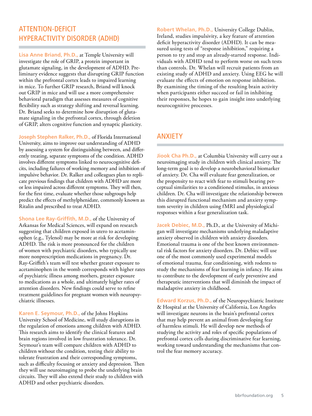#### ATTENTION-DEFICIT HYPERACTIVITY DISORDER (ADHD)

**Lisa Anne Briand, Ph.D.,** at Temple University will investigate the role of GRIP, a protein important in glutamate signaling, in the development of ADHD. Preliminary evidence suggests that disrupting GRIP function within the prefrontal cortex leads to impaired learning in mice. To further GRIP research, Briand will knock out GRIP in mice and will use a more comprehensive behavioral paradigm that assesses measures of cognitive flexibility such as strategy shifting and reversal learning. Dr. Briand seeks to determine how disruption of glutamate signaling in the prefrontal cortex, through deletion of GRIP, alters cognitive function and synaptic plasticity.

**Joseph Stephen Ralker, Ph.D.,** of Florida International University, aims to improve our understanding of ADHD by assessing a system for distinguishing between, and differently treating, separate symptoms of the condition. ADHD involves different symptoms linked to neurocognitive deficits, including failures of working memory and inhibition of impulsive behavior. Dr. Ralker and colleagues plan to replicate previous findings that children with ADHD are more or less impaired across different symptoms. They will then, for the first time, evaluate whether those subgroups help predict the effects of methylphenidate, commonly known as Ritalin and prescribed to treat ADHD.

**Shona Lee Ray-Griffith, M.D.,** of the University of Arkansas for Medical Sciences, will expand on research suggesting that children exposed in utero to acetaminophen (e.g., Tylenol) may be more at risk for developing ADHD. The risk is more pronounced for the children of women with psychiatric disorders, who typically use more nonprescription medications in pregnancy. Dr. Ray-Griffith's team will test whether greater exposure to acetaminophen in the womb corresponds with higher rates of psychiatric illness among mothers, greater exposure to medications as a whole, and ultimately higher rates of attention disorders. New findings could serve to refine treatment guidelines for pregnant women with neuropsychiatric illnesses.

**Karen E. Seymour, Ph.D.,** of the Johns Hopkins University School of Medicine, will study disruptions in the regulation of emotions among children with ADHD. This research aims to identify the clinical features and brain regions involved in low frustration tolerance. Dr. Seymour's team will compare children with ADHD to children without the condition, testing their ability to tolerate frustration and their corresponding symptoms, such as difficulty focusing or anxiety and depression. Then they will use neuroimaging to probe the underlying brain circuits. They will also extend their study to children with ADHD and other psychiatric disorders.

**Robert Whelan, Ph.D.,** University College Dublin, Ireland, studies impulsivity, a key feature of attention deficit hyperactivity disorder (ADHD). It can be measured using tests of "response inhibition," requiring a person to try and stop an already-started response. Individuals with ADHD tend to perform worse on such tests than controls. Dr. Whelan will recruit patients from an existing study of ADHD and anxiety. Using EEG he will evaluate the effects of emotion on response inhibition. By examining the timing of the resulting brain activity when participants either succeed or fail in inhibiting their responses, he hopes to gain insight into underlying neurocognitive processes.

#### ANXIETY

**Jiook Cha Ph.D.,** at Columbia University will carry out a neuroimaging study in children with clinical anxiety. The long-term goal is to develop a neurobehavioral biomarker of anxiety. Dr. Cha will evaluate fear generalization, or the propensity to react with fear to stimuli bearing perceptual similarities to a conditioned stimulus, in anxious children. Dr. Cha will investigate the relationship between this disrupted functional mechanism and anxiety symptom severity in children using fMRI and physiological responses within a fear generalization task.

**Jacek Debiec, M.D.,** Ph.D., at the University of Michigan will investigate mechanisms underlying maladaptive anxiety observed in children with anxiety disorders. Emotional trauma is one of the best known environmental risk factors for anxiety disorders. Dr. Debiec will use one of the most commonly used experimental models of emotional trauma, fear conditioning, with rodents to study the mechanisms of fear learning in infancy. He aims to contribute to the development of early preventive and therapeutic interventions that will diminish the impact of maladaptive anxiety in childhood.

**Edward Korzus, Ph.D.,** of the Neuropsychiatric Institute & Hospital at the University of California, Los Angeles will investigate neurons in the brain's prefrontal cortex that may help prevent an animal from developing fear of harmless stimuli. He will develop new methods of studying the activity and roles of specific populations of prefrontal cortex cells during discriminative fear learning, working toward understanding the mechanisms that control the fear memory accuracy.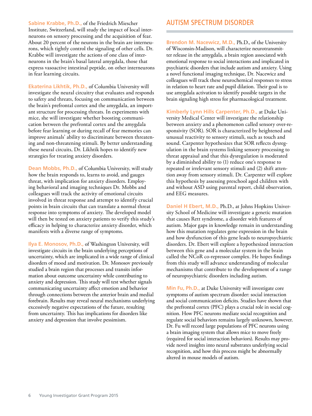**Sabine Krabbe, Ph.D.,** of the Friedrich Miescher Institute, Switzerland, will study the impact of local interneurons on sensory processing and the acquisition of fear. About 20 percent of the neurons in the brain are interneurons, which tightly control the signaling of other cells. Dr. Krabbe will investigate the actions of one class of interneurons in the brain's basal lateral amygdala, those that express vasoactive intestinal peptide, on other interneurons in fear learning circuits.

**Ekaterina Likhtik, Ph.D.,** of Columbia University will investigate the neural circuitry that evaluates and responds to safety and threats, focusing on communication between the brain's prefrontal cortex and the amygdala, an important structure for processing threats. In experiments with mice, she will investigate whether boosting communication between the prefrontal cortex and the amygdala before fear learning or during recall of fear memories can improve animals' ability to discriminate between threatening and non-threatening stimuli. By better understanding these neural circuits, Dr. Likhtik hopes to identify new strategies for treating anxiety disorders.

**Dean Mobbs, Ph.D.,** of Columbia University, will study how the brain responds to, learns to avoid, and gauges threat, with implication for anxiety disorders. Employing behavioral and imaging techniques Dr. Mobbs and colleagues will track the activity of emotional circuits involved in threat response and attempt to identify crucial points in brain circuits that can translate a normal threat response into symptoms of anxiety. The developed model will then be tested on anxiety patients to verify this study's efficacy in helping to characterize anxiety disorder, which manifests with a diverse range of symptoms.

**Ilya E. Monosov, Ph.D.,** of Washington University, will investigate circuits in the brain underlying perceptions of uncertainty, which are implicated in a wide range of clinical disorders of mood and motivation. Dr. Monosov previously studied a brain region that processes and transits information about outcome uncertainty while contributing to anxiety and depression. This study will test whether signals communicating uncertainty affect emotion and behavior through connections between the anterior brain and medial forebrain. Results may reveal neural mechanisms underlying excessively negative expectations of the future, resulting from uncertainty. This has implications for disorders like anxiety and depression that involve pessimism.

#### AUTISM SPECTRUM DISORDER

**Brendon M. Nacewicz, M.D.,** Ph.D., of the University of Wisconsin-Madison, will characterize neurotransmitter release in the amygdala, a brain region associated with emotional response to social interactions and implicated in psychiatric disorders that include autism and anxiety. Using a novel functional imaging technique, Dr. Nacewicz and colleagues will track these neurochemical responses to stress in relation to heart rate and pupil dilation. Their goal is to use amygdala activation to identify possible targets in the brain signaling high stress for pharmacological treatment.

**Kimberly Lynn Hills Carpenter, Ph.D.,** at Duke University Medical Center will investigate the relationship between anxiety and a phenomenon called sensory over-responsivity (SOR). SOR is characterized by heightened and unusual reactivity to sensory stimuli, such as touch and sound. Carpenter hypothesizes that SOR reflects dysregulation in the brain systems linking sensory processing to threat appraisal and that this dysregulation is moderated by a diminished ability to (1) reduce one's response to repeated or irrelevant sensory stimuli and (2) shift attention away from sensory stimuli. Dr. Carpenter will explore this hypothesis by assessing preschool aged children with and without ASD using parental report, child observation, and EEG measures.

**Daniel H Ebert, M.D.,** Ph.D., at Johns Hopkins University School of Medicine will investigate a genetic mutation that causes Rett syndrome, a disorder with features of autism. Major gaps in knowledge remain in understanding how this mutation regulates gene expression in the brain and how dysfunction of this gene leads to neuropsychiatric disorders. Dr. Ebert will explore a hypothesized interaction between this gene and a molecular system in the brain called the NCoR co-repressor complex. He hopes findings from this study will advance understanding of molecular mechanisms that contribute to the development of a range of neuropsychiatric disorders including autism.

**Min Fu, Ph.D.,** at Duke University will investigate core symptoms of autism spectrum disorder: social interaction and social communication deficits. Studies have shown that the prefrontal cortex (PFC) plays a crucial role in social cognition. How PFC neurons mediate social recognition and regulate social behaviors remains largely unknown, however. Dr. Fu will record large populations of PFC neurons using a brain imaging system that allows mice to move freely (required for social interaction behaviors). Results may provide novel insights into neural substrates underlying social recognition, and how this process might be abnormally altered in mouse models of autism.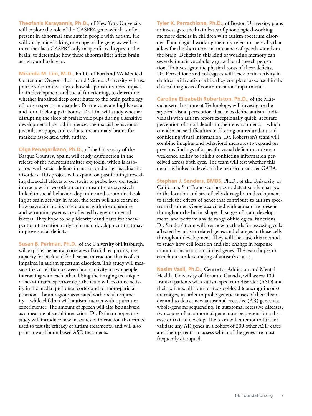**Theofanis Karayannis, Ph.D.,** of New York University will explore the role of the CASPR4 gene, which is often present in abnormal amounts in people with autism. He will study mice lacking one copy of the gene, as well as mice that lack CASPR4 only in specific cell types in the brain, to determine how these abnormalities affect brain activity and behavior.

**Miranda M. Lim, M.D.,** Ph.D., of Portland VA Medical Center and Oregon Health and Science University will use prairie voles to investigate how sleep disturbances impact brain development and social functioning, to determine whether impaired sleep contributes to the brain pathology of autism spectrum disorder. Prairie voles are highly social and form lifelong pair bonds. Dr. Lim will study whether disrupting the sleep of prairie vole pups during a sensitive developmental period influences their social behavior as juveniles or pups, and evaluate the animals' brains for markers associated with autism.

**Olga Penagarikano, Ph.D.,** of the University of the Basque Country, Spain, will study dysfunction in the release of the neurotransmitter oxytocin, which is associated with social deficits in autism and other psychiatric disorders. This project will expand on past findings revealing the social effects of oxytocin to probe how oxytocin interacts with two other neurotransmitters extensively linked to social behavior: dopamine and serotonin. Looking at brain activity in mice, the team will also examine how oxytocin and its interactions with the dopamine and serotonin systems are affected by environmental factors. They hope to help identify candidates for therapeutic intervention early in human development that may improve social deficits.

**Susan B. Perlman, Ph.D.,** of the University of Pittsburgh, will explore the neural correlates of social reciprocity, the capacity for back-and-forth social interaction that is often impaired in autism spectrum disorders. This study will measure the correlation between brain activity in two people interacting with each other. Using the imaging technique of near-infrared spectroscopy, the team will examine activity in the medial prefrontal cortex and temporo-parietal junction—brain regions associated with social reciprocity—while children with autism interact with a parent or experimenter. The amount of speech will also be analyzed as a measure of social interaction. Dr. Perlman hopes this study will introduce new measures of interaction that can be used to test the efficacy of autism treatments, and will also point toward brain-based ASD treatments.

**Tyler K. Perrachione, Ph.D.,** of Boston University, plans to investigate the brain bases of phonological working memory deficits in children with autism spectrum disorder. Phonological working memory refers to the skills that allow for the short-term maintenance of speech sounds in the brain. Deficits in this kind of working memory can severely impair vocabulary growth and speech perception. To investigate the physical roots of these deficits, Dr. Perrachione and colleagues will track brain activity in children with autism while they complete tasks used in the clinical diagnosis of communication impairments.

**Caroline Elizabeth Robertston, Ph.D.,** of the Massachusetts Institute of Technology, will investigate the atypical visual perception that helps define autism. Individuals with autism report exceptionally quick, accurate perception of small details in their environments—which can also cause difficulties in filtering out redundant and conflicting visual information. Dr. Robertson's team will combine imaging and behavioral measures to expand on previous findings of a specific visual deficit in autism: a weakened ability to inhibit conflicting information perceived across both eyes. The team will test whether this deficit is linked to levels of the neurotransmitter GABA.

**Stephan J. Sanders, BMBS,** Ph.D., of the University of California, San Francisco, hopes to detect subtle changes in the location and size of cells during brain development to track the effects of genes that contribute to autism spectrum disorder. Genes associated with autism are present throughout the brain, shape all stages of brain development, and perform a wide range of biological functions. Dr. Sanders' team will test new methods for assessing cells affected by autism-related genes and changes to those cells throughout development. They will then use this method to study how cell location and size change in response to mutations in autism-linked genes. The team hopes to enrich our understanding of autism's causes.

**Nasim Vasli, Ph.D.,** Centre for Addiction and Mental Health, University of Toronto, Canada, will assess 100 Iranian patients with autism spectrum disorder (ASD) and their parents, all from related-by-blood (consanguineous) marriages, in order to probe genetic causes of their disorder and to detect new autosomal recessive (AR) genes via whole-genome sequencing. In autosomal recessive diseases, two copies of an abnormal gene must be present for a disease or trait to develop. The team will attempt to further validate any AR genes in a cohort of 200 other ASD cases and their parents, to assess which of the genes are most frequently disrupted.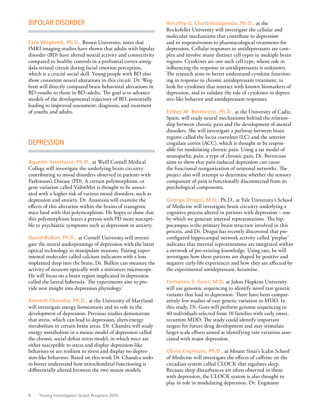#### BIPOLAR DISORDER

**Ezra Wegbreit, Ph.D.,** Brown University, notes that fMRI imaging studies have shown that adults with bipolar disorder (BD) have altered neural activity and connectivity compared to healthy controls in a prefrontal cortex-amygdala-striatal circuit during facial emotion perception, which is a crucial social skill. Young people with BD also show consistent neural alterations in this circuit. Dr. Wegbreit will directly compared brain behavioral alterations in BD-youths to those in BD-adults. The goal is to advance models of the developmental trajectory of BD, potentially leading to improved assessment, diagnosis, and treatment of youths and adults.

#### **DEPRESSION**

**Agustin Anastasia, Ph.D.,** at Weill Cornell Medical College will investigate the underlying brain circuitry contributing to mood disorders observed in patients with Parkinson's Disease (PD). A certain polymorphism, or gene variation called Val66Met is thought to be associated with a higher risk of various mood disorders, such as depression and anxiety. Dr. Anastasia will examine the effects of this alteration within the brains of transgenic mice bred with this polymorphism. He hopes to show that this polymorphism leaves a person with PD more susceptible to psychiatric symptoms such as depression or anxiety.

**David Bulkin, Ph.D.,** at Cornell University will investigate the neural underpinnings of depression with the latest optical technology to manipulate neurons. Pairing experimental molecules called calcium indicators with a lens implanted deep into the brain, Dr. Bulkin can measure the activity of neurons optically with a miniature microscope. He will focus on a brain region implicated in depression called the lateral habenula. The experiments aim to provide new insight into depression physiology.

**Ramesh Chandra, Ph.D.,** at the University of Maryland will investigate energy homeostasis and its role in the development of depression. Previous studies demonstrate that stress, which can lead to depression, alters energy metabolism in certain brain areas. Dr. Chandra will study energy metabolism in a mouse model of depression called the chronic social defeat stress model, in which mice are either susceptible to stress and display depression-like behaviors or are resilient to stress and display no depression-like behaviors. Based on this work Dr. Chandra seeks to better understand how mitochondrial functioning is differentially altered between the two mouse models.

#### **Revathy U. Chottekalapanda, Ph.D.,** at the

Rockefeller University will investigate the cellular and molecular mechanisms that contribute to depression and to responsiveness to pharmacological treatments for depression. Cellular responses to antidepressants are complex and involve many distinct cell types in multiple brain regions. Cytokines are one such cell type, whose role in influencing the response to antidepressants is unknown. The research aims to better understand cytokine functioning in response to chronic antidepressant treatment, to look for cytokines that interact with known biomarkers of depression, and to validate the role of cytokines in depressive-like behavior and antidepressant responses.

**Esther M. Berrocoso, Ph.D.,** at the University of Cadiz, Spain, will study neural mechanisms behind the relationship between chronic pain and the development of mental disorders. She will investigate a pathway between brain regions called the locus coeruleus (LC) and the anterior cingulate cortex (ACC), which is thought to be responsible for modulating chronic pain. Using a rat model of neuropathic pain, a type of chronic pain, Dr. Berrocoso aims to show that pain-induced depression can cause the functional reorganization of neuronal networks. The project also will attempt to determine whether the sensory component of pain is functionally disconnected from its psychological components.

**George Dragoi, M.D.,** Ph.D., at Yale University's School of Medicine will investigate brain circuitry underlying a cognitive process altered in patients with depression – one by which we generate internal representations. The hippocampus is the primary brain structure involved in this process, and Dr. Dragoi has recently discovered that preconfigured hippocampal network activity called 'preplay' indicates that internal representations are integrated within a network of pre-existing knowledge. Using rats, he will investigate how these patterns are shaped by positive and negative early-life experiences and how they are affected by the experimental antidepressant, ketamine.

**Fernando S. Goes, M.D,** at Johns Hopkins University will use genomic sequencing to identify novel rare genetic variants that lead to depression. There have been comparatively few studies of rare genetic variation in MDD. In this study, Dr. Goes will perform genome sequencing in 40 individuals selected from 10 families with early onset, recurrent MDD. The study could identify important targets for future drug development and may stimulate larger-scale efforts aimed at identifying rare variation associated with major depression.

**Olivia Engmann, Ph.D.,** at Mount Sinai's Icahn School of Medicine will investigate the effects of caffeine on the circadian system called CLOCK that regulates sleep. Because sleep disturbances are often observed in those with depression, the CLOCK system is also thought to play in role in modulating depression. Dr. Engmann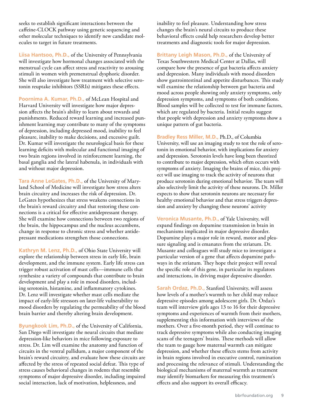seeks to establish significant interactions between the caffeine-CLOCK pathway using genetic sequencing and other molecular techniques to identify new candidate molecules to target in future treatments.

**Liisa Hantsoo, Ph.D.,** of the University of Pennsylvania will investigate how hormonal changes associated with the menstrual cycle can affect stress and reactivity to arousing stimuli in women with premenstrual dysphoric disorder. She will also investigate how treatment with selective serotonin reuptake inhibitors (SSRIs) mitigates these effects.

**Poornima A. Kumar, Ph.D.,** of McLean Hospital and Harvard University will investigate how major depression affects the brain's ability to learn about rewards and punishments. Reduced reward learning and increased punishment learning may contribute to many of the symptoms of depression, including depressed mood, inability to feel pleasure, inability to make decisions, and excessive guilt. Dr. Kumar will investigate the neurological basis for these learning deficits with molecular and functional imaging of two brain regions involved in reinforcement learning, the basal ganglia and the lateral habenula, in individuals with and without major depression.

**Tara Anne LeGates, Ph.D.,** of the University of Maryland School of Medicine will investigate how stress alters brain circuitry and increases the risk of depression. Dr. LeGates hypothesizes that stress weakens connections in the brain's reward circuitry and that restoring these connections is a critical for effective antidepressant therapy. She will examine how connections between two regions of the brain, the hippocampus and the nucleus accumbens, change in response to chronic stress and whether antidepressant medications strengthen those connections.

**Kathryn M. Lenz, Ph.D.,** of Ohio State University will explore the relationship between stress in early life, brain development, and the immune system. Early life stress can trigger robust activation of mast cells—immune cells that synthesize a variety of compounds that contribute to brain development and play a role in mood disorders, including serotonin, histamine, and inflammatory cytokines. Dr. Lenz will investigate whether mast cells mediate the impact of early-life stressors on later-life vulnerability to mood disorders by regulating the permeability of the blood brain barrier and thereby altering brain development.

**Byungkook Lim, Ph.D.,** of the University of California, San Diego will investigate the neural circuits that mediate depression-like behaviors in mice following exposure to stress. Dr. Lim will examine the anatomy and function of circuits in the ventral pallidum, a major component of the brain's reward circuitry, and evaluate how these circuits are affected by the stress of repeated social defeat. This type of stress causes behavioral changes in rodents that resemble symptoms of major depressive disorder, including impaired social interaction, lack of motivation, helplessness, and

inability to feel pleasure. Understanding how stress changes the brain's neural circuits to produce these behavioral effects could help researchers develop better treatments and diagnostic tools for major depression.

**Brittany Leigh Mason, Ph.D.,** of the University of Texas Southwestern Medical Center at Dallas, will compare how the presence of gut bacteria affects anxiety and depression. Many individuals with mood disorders show gastrointestinal and appetite disturbances. This study will examine the relationship between gut bacteria and mood across people showing only anxiety symptoms, only depression symptoms, and symptoms of both conditions. Blood samples will be collected to test for immune factors, which are regulated by bacteria. Initial results suggest that people with depression and anxiety symptoms show a unique pattern of gut bacteria.

**Bradley Ress Miller, M.D.,** Ph.D., of Columbia University, will use an imaging study to test the role of serotonin in emotional behavior, with implications for anxiety and depression. Serotonin levels have long been theorized to contribute to major depression, which often occurs with symptoms of anxiety. Imaging the brains of mice, this project will use imaging to track the activity of neurons that produce serotonin during emotional behavior. The team will also selectively limit the activity of these neurons. Dr. Miller expects to show that serotonin neurons are necessary for healthy emotional behavior and that stress triggers depression and anxiety by changing these neurons' activity

**Veronica Musante, Ph.D.,** of Yale University, will expand findings on dopamine transmission in brain in mechanisms implicated in major depressive disorder. Dopamine plays a major role in reward, motor and pleasure signaling and is emanates from the striatum. Dr. Musante and colleagues will study mice to investigate a particular version of a gene that affects dopamine pathways in the striatum. They hope their project will reveal the specific role of this gene, in particular its regulators and interactions, in driving major depressive disorder.

**Sarah Ordaz, Ph.D.,** Stanford University, will assess how levels of a mother's warmth to her child may reduce depressive episodes among adolescent girls. Dr. Ordaz's team will interview girls ages 13 to 16 for their depressive symptoms and experiences of warmth from their mothers, supplementing this information with interviews of the mothers. Over a five-month period, they will continue to track depressive symptoms while also conducting imaging scans of the teenagers' brains. These methods will allow the team to gauge how maternal warmth can mitigate depression, and whether these effects stems from activity in brain regions involved in executive control, rumination and processing the relevance of stimuli. Understanding the biological mechanisms of maternal warmth as treatment may identify biomarkers for measuring this treatment's effects and also support its overall efficacy.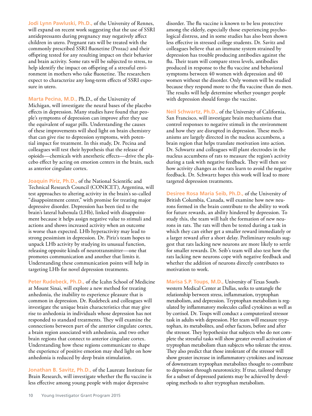**Jodi Lynn Pawluski, Ph.D.,** of the University of Rennes, will expand on recent work suggesting that the use of SSRI antidepressants during pregnancy may negatively affect children in utero. Pregnant rats will be treated with the commonly prescribed SSRI fluoxetine (Prozac) and their offspring tested for any resulting impact on their behavior and brain activity. Some rats will be subjected to stress, to help identify the impact on offspring of a stressful environment in mothers who take fluoxetine. The researchers expect to characterize any long-term effects of SSRI exposure in utero.

**Marta Pecina, M.D.,** Ph.D., of the University of Michigan, will investigate the neural bases of the placebo effects in depression. Many studies have found that people's symptoms of depression can improve after they use the equivalent of sugar pills. Understanding the causes of these improvements will shed light on brain chemistry that can give rise to depression symptoms, with potential impact for treatment. In this study, Dr. Pecina and colleagues will test their hypothesis that the release of opioids—chemicals with anesthetic effects—drive the placebo effect by acting on emotion centers in the brain, such as anterior cingulate cortex.

**Joaquin Piriz, Ph.D.,** of the National Scientific and Technical Research Council (CONICET), Argentina, will test approaches to altering activity in the brain's so-called "disappointment center," with promise for treating major depressive disorder. Depression has been tied to the brain's lateral habenula (LHb), linked with disappointment because it helps assign negative value to stimuli and actions and shows increased activity when an outcome is worse than expected. LHb hyperactivity may lead to strong pessimism in depression. Dr. Piriz's team hopes to unpack LHb activity by studying its unusual function, releasing opposite kinds of neurotransmitter—one that promotes communication and another that limits it. Understanding these communication points will help in targeting LHb for novel depression treatments.

**Peter Rudebeck, Ph.D.,** of the Icahn School of Medicine at Mount Sinai, will explore a new method for treating anhedonia, the inability to experience pleasure that is common in depression. Dr. Rudebeck and colleagues will investigate the unique brain characteristics that may give rise to anhedonia in individuals whose depression has not responded to standard treatments. They will examine the connections between part of the anterior cingulate cortex, a brain region associated with anhedonia, and two other brain regions that connect to anterior cingulate cortex. Understanding how these regions communicate to shape the experience of positive emotion may shed light on how anhedonia is reduced by deep brain stimulation.

**Jonathan B. Savitz, Ph.D.,** of the Laureate Institute for Brain Research, will investigate whether the flu vaccine is less effective among young people with major depressive

disorder. The flu vaccine is known to be less protective among the elderly, especially those experiencing psychological distress, and in some studies has also been shown less effective in stressed college students. Dr. Savitz and colleagues believe that an immune system strained by depression has trouble producing antibodies against the flu. Their team will compare stress levels, antibodies produced in response to the flu vaccine and behavioral symptoms between 40 women with depression and 40 women without the disorder. Only women will be studied because they respond more to the flu vaccine than do men. The results will help determine whether younger people with depression should forego the vaccine.

**Neil Schwartz, Ph.D.,** of the University of California, San Francisco, will investigate brain mechanisms that control responses to negative stimuli in the environment and how they are disrupted in depression. These mechanisms are largely directed in the nucleus accumbens, a brain region that helps translate motivation into action. Dr. Schwartz and colleagues will plant electrodes in the nucleus accumbens of rats to measure the region's activity during a task with negative feedback. They will then see how activity changes as the rats learn to avoid the negative feedback. Dr. Schwartz hopes this work will lead to more targeted depression treatments.

**Desiree Rosa Maria Seib, Ph.D.,** of the University of British Columbia, Canada, will examine how new neurons formed in the brain contribute to the ability to work for future rewards, an ability hindered by depression. To study this, the team will halt the formation of new neurons in rats. The rats will then be tested during a task in which they can either get a smaller reward immediately or a larger reward after a short delay. Preliminary results suggest that rats lacking new neurons are more likely to settle for smaller rewards. Dr. Seib's team will also test how the rats lacking new neurons cope with negative feedback and whether the addition of neurons directly contributes to motivation to work.

**Marisa S.P. Toups, M.D.,** University of Texas Southwestern Medical Center at Dallas, seeks to untangle the relationship between stress, inflammation, tryptophan metabolism, and depression. Tryptophan metabolism is regulated by inflammatory molecules called cytokines as well as by cortisol. Dr. Toups will conduct a computerized stressor task in adults with depression. Her team will measure tryptophan, its metabolites, and other factors, before and after the stressor. They hypothesize that subjects who do not complete the stressful tasks will show greater overall activation of tryptophan metabolism than subjects who tolerate the stress. They also predict that those intolerant of the stressor will show greater increase in inflammatory cytokines and increase of downstream tryptophan metabolites thought to contribute to depression through neurotoxicity. If true, tailored therapy for a subset of depressed patients may be achieved by developing methods to alter tryptophan metabolism.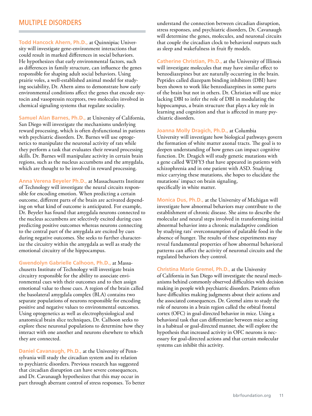#### MULTIPLE DISORDERS

**Todd Hancock Ahern, Ph.D.,** at Quinnipiac University will investigate gene-environment interactions that could result in marked differences in social behaviors. He hypothesizes that early environmental factors, such as differences in family structure, can influence the genes responsible for shaping adult social behaviors. Using prairie voles, a well-established animal model for studying sociability, Dr. Ahern aims to demonstrate how early environmental conditions affect the genes that encode oxytocin and vasopressin receptors, two molecules involved in chemical signaling systems that regulate sociality.

**Samuel Alan Barnes, Ph.D.,** at University of California, San Diego will investigate the mechanisms underlying reward processing, which is often dysfunctional in patients with psychiatric disorders. Dr. Barnes will use optogenetics to manipulate the neuronal activity of rats while they perform a task that evaluates their reward processing skills. Dr. Barnes will manipulate activity in certain brain regions, such as the nucleus accumbens and the amygdala, which are thought to be involved in reward processing.

**Anna Verena Beyeler Ph.D.,** at Massachusetts Institute of Technology will investigate the neural circuits responsible for encoding emotion. When predicting a certain outcome, different parts of the brain are activated depending on what kind of outcome is anticipated. For example, Dr. Beyeler has found that amygdala neurons connected to the nucleus accumbens are selectively excited during cues predicting positive outcomes whereas neurons connecting to the central part of the amygdala are excited by cues during negative outcomes. She seeks to further characterize the circuitry within the amygdala as well as study the emotional circuitry of the hippocampus.

**Gwendolyn Gabrielle Calhoon, Ph.D.,** at Massachusetts Institute of Technology will investigate brain circuitry responsible for the ability to associate environmental cues with their outcomes and to then assign emotional value to those cues. A region of the brain called the basolateral amygdala complex (BLA) contains two separate populations of neurons responsible for encoding positive and negative values to environmental outcomes. Using optogenetics as well as electrophysiological and anatomical brain slice techniques, Dr. Calhoon seeks to explore these neuronal populations to determine how they interact with one another and neurons elsewhere to which they are connected.

**Daniel Cavanaugh, Ph.D.,** at the University of Pennsylvania will study the circadian system and its relation to psychiatric disorders. Previous research has suggested that circadian disruption can have severe consequences, and Dr. Cavanaugh hypothesizes that this may occur in part through aberrant control of stress responses. To better understand the connection between circadian disruption, stress responses, and psychiatric disorders, Dr. Cavanaugh will determine the genes, molecules, and neuronal circuits that couple the circadian clock to behavioral outputs such as sleep and wakefulness in fruit fly models.

**Catherine Christian, Ph.D.,** at the University of Illinois will investigate molecules that may have similar effect to benzodiazepines but are naturally occurring in the brain. Peptides called diazepam binding inhibitors (DBI) have been shown to work like benzodiazepines in some parts of the brain but not in others. Dr. Christian will use mice lacking DBI to infer the role of DBI in modulating the hippocampus, a brain structure that plays a key role in learning and cognition and that is affected in many psychiatric disorders.

**Joanna Molly Dragich, Ph.D.,** at Columbia University will investigate how biological pathways govern the formation of white matter axonal tracts. The goal is to deepen understanding of how genes can impact cognitive function. Dr. Dragich will study genetic mutations with a gene called WDFY3 that have appeared in patients with schizophrenia and in one patient with ASD. Studying mice carrying these mutations, she hopes to elucidate the mutations' impact on brain signaling, specifically in white matter.

**Monica Dus, Ph.D.,** at the University of Michigan will investigate how abnormal behaviors may contribute to the establishment of chronic disease. She aims to describe the molecular and neural steps involved in transforming initial abnormal behavior into a chronic maladaptive condition by studying rats' overconsumption of palatable food in the absence of hunger. The results of these experiments may reveal fundamental properties of how abnormal behavioral patterns can affect the activity of neuronal circuits and the regulated behaviors they control.

**Christina Marie Gremel, Ph.D.,** at the University of California in San Diego will investigate the neural mechanisms behind commonly observed difficulties with decision making in people with psychiatric disorders. Patients often have difficulties making judgments about their actions and the associated consequences. Dr. Gremel aims to study the role of neurons in a brain region called the orbital frontal cortex (OFC) in goal-directed behavior in mice. Using a behavioral task that can differentiate between mice acting in a habitual or goal-directed manner, she will explore the hypothesis that increased activity in OFC neurons is necessary for goal-directed actions and that certain molecular systems can inhibit this activity.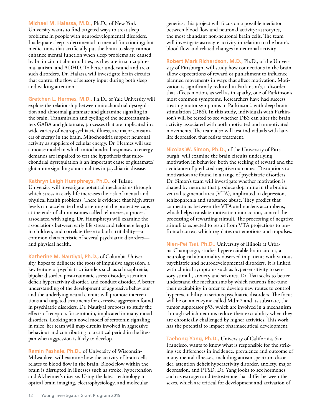**Michael M. Halassa, M.D.,** Ph.D., of New York University wants to find targeted ways to treat sleep problems in people with neurodevelopmental disorders. Inadequate sleep is detrimental to mental functioning; but medications that artificially put the brain to sleep cannot enhance mental function when sleep problems are caused by brain circuit abnormalities, as they are in schizophrenia, autism, and ADHD. To better understand and treat such disorders, Dr. Halassa will investigate brain circuits that control the flow of sensory input during both sleep and waking attention.

**Gretchen L. Hermes, M.D.,** Ph.D., of Yale University will explore the relationship between mitochondrial dysregulation and abnormal glutamate and glutamine signaling in the brain. Transmission and cycling of the neurotransmitters GABA and glutamate, processes that are implicated in a wide variety of neuropsychiatric illness, are major consumers of energy in the brain. Mitochondria support neuronal activity as suppliers of cellular energy. Dr. Hermes will use a mouse model in which mitochondrial responses to energy demands are impaired to test the hypothesis that mitochondrial dysregulation is an important cause of glutamate/ glutamine signaling abnormalities in psychiatric disease.

**Kathryn Leigh Humphreys, Ph.D.,** of Tulane University will investigate potential mechanisms through which stress in early life increases the risk of mental and physical health problems. There is evidence that high stress levels can accelerate the shortening of the protective caps at the ends of chromosomes called telomeres, a process associated with aging. Dr. Humphreys will examine the associations between early life stress and telomere length in children, and correlate these to both irritability—a common characteristic of several psychiatric disorders and physical health.

**Katherine M. Nautiyal, Ph.D.,** of Columbia University, hopes to delineate the roots of impulsive aggression, a key feature of psychiatric disorders such as schizophrenia, bipolar disorder, post-traumatic stress disorder, attention deficit hyperactivity disorder, and conduct disorder. A better understanding of the development of aggressive behaviour and the underlying neural circuits will promote interventions and targeted treatments for excessive aggression found in psychiatric disorders. Dr. Nautiyal proposes to study the effects of receptors for serotonin, implicated in many mood disorders. Looking at a novel model of serotonin signaling in mice, her team will map circuits involved in aggressive behaviour and contributing to a critical period in the lifespan when aggression is likely to develop.

**Ramin Pashale, Ph.D.,** of University of Wisconsin-Milwaukee, will examine how the activity of brain cells relates to blood flow in the brain. Blood flow within the brain is disrupted in illnesses such as stroke, hypertension and Alzheimer's disease. Using the latest technology in optical brain imaging, electrophysiology, and molecular

genetics, this project will focus on a possible mediator between blood flow and neuronal activity: astrocytes, the most abundant non-neuronal brain cells. The team will investigate astrocyte activity in relation to the brain's blood flow and related changes in neuronal activity.

**Robert Mark Richardson, M.D.,** Ph.D., of the University of Pittsburgh, will study how connections in the brain allow expectations of reward or punishment to influence planned movements in ways that affect motivation. Motivation is significantly reduced in Parkinson's, a disorder that affects motion, as well as in apathy, one of Parkinson's most common symptoms. Researchers have had success treating motor symptoms in Parkinson's with deep brain stimulation (DBS). In this study, individuals with Parkinson's will be tested to see whether DBS can alter the brain activity associated with both motivated and unmotivated movements. The team also will test individuals with latelife depression that resists treatment.

**Nicolas W. Simon, Ph.D.,** of the University of Pittsburgh, will examine the brain circuits underlying motivation in behavior, both the seeking of reward and the avoidance of predicted negative outcomes. Disruptions to motivation are found in a range of psychiatric disorders. Dr. Simon's team will investigate whether motivation is shaped by neurons that produce dopamine in the brain's ventral tegmental area (VTA), implicated in depression, schizophrenia and substance abuse. They predict that connections between the VTA and nucleus accumbens, which helps translate motivation into action, control the processing of rewarding stimuli. The processing of negative stimuli is expected to result from VTA projections to prefrontal cortex, which regulates our emotions and impulses.

**Nien-Pei Tsai, Ph.D.,** University of Illinois at Urbana-Champaign, studies hyperexcitable brain circuit, a neurological abnormality observed in patients with various psychiatric and neurodevelopmental disorders. It is linked with clinical symptoms such as hypersensitivity to sensory stimuli, anxiety and seizures. Dr. Tsai seeks to better understand the mechanisms by which neurons fine-tune their excitability in order to develop new routes to control hyperexcitability in serious psychiatric disorders. The focus will be on an enzyme called Mdm2 and its substrate, the tumor suppressor p53, which are involved in a mechanism through which neurons reduce their excitability when they are chronically challenged by higher activities. This work has the potential to impact pharmaceutical development.

**Taehong Yang, Ph.D.,** University of California, San Francisco, wants to know what is responsible for the striking sex differences in incidence, prevalence and outcome of many mental illnesses, including autism spectrum disorder, attention deficit hyperactivity disorder, anxiety, major depression, and PTSD. Dr. Yang looks to sex hormones such as estrogen and testosterone that differ between the sexes, which are critical for development and activation of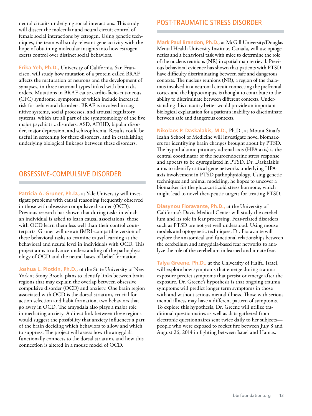neural circuits underlying social interactions. This study will dissect the molecular and neural circuit control of female social interactions by estrogen. Using genetic techniques, the team will study relevant gene activity with the hope of obtaining molecular insights into how estrogen exerts control over distinct social behaviors.

**Erika Yeh, Ph.D.,** University of California, San Francisco, will study how mutation of a protein called BRAF affects the maturation of neurons and the development of synapses, in three neuronal types linked with brain disorders. Mutations in BRAF cause cardio-facio-cutaneous (CFC) syndrome, symptoms of which include increased risk for behavioral disorders. BRAF is involved in cognitive systems, social processes, and arousal regulatory systems, which are all part of the symptomology of the five major psychiatric disorders: ASD, ADHD, bipolar disorder, major depression, and schizophrenia. Results could be useful in screening for these disorders, and in establishing underlying biological linkages between these disorders.

#### OBSESSIVE-COMPULSIVE DISORDER

Patricia A. Gruner, Ph.D., at Yale University will investigate problems with causal reasoning frequently observed in those with obsessive compulsive disorder (OCD). Previous research has shown that during tasks in which an individual is asked to learn causal associations, those with OCD learn them less well than their control counterparts. Gruner will use an fMRI-compatible version of these behavioral tasks to examine causal learning at the behavioral and neural level in individuals with OCD. This project aims to advance understanding of the pathophysiology of OCD and the neural bases of belief formation.

**Joshua L. Plotkin, Ph.D.,** of the State University of New York at Stony Brook, plans to identify links between brain regions that may explain the overlap between obsessive compulsive disorder (OCD) and anxiety. One brain region associated with OCD is the dorsal striatum, crucial for action selection and habit formation, two behaviors that go awry in OCD. The amygdala also plays a major role in mediating anxiety. A direct link between these regions would suggest the possibility that anxiety influences a part of the brain deciding which behaviors to allow and which to suppress. The project will assess how the amygdala functionally connects to the dorsal striatum, and how this connection is altered in a mouse model of OCD.

#### POST-TRAUMATIC STRESS DISORDER

**Mark Paul Brandon, Ph.D.,** at McGill University/Douglas Mental Health University Institute, Canada, will use optogenetics and a behavioral task with mice to determine the role of the nucleus reunions (NR) in spatial map retrieval. Previous behavioral evidence has shown that patients with PTSD have difficulty discriminating between safe and dangerous contexts. The nucleus reunions (NR), a region of the thalamus involved in a neuronal circuit connecting the prefrontal cortex and the hippocampus, is thought to contribute to the ability to discriminate between different contexts. Understanding this circuitry better would provide an important biological explanation for a patient's inability to discriminate between safe and dangerous contexts.

**Nikolaos P. Daskalakis, M.D.,** Ph.D., at Mount Sinai's Icahn School of Medicine will investigate novel biomarkers for identifying brain changes brought about by PTSD. The hypothalamic-pituitary-adrenal axis (HPA axis) is the central coordinator of the neuroendocrine stress response and appears to be dysregulated in PTSD. Dr. Daskalakis aims to identify critical gene networks underlying HPAaxis involvement in PTSD pathophysiology. Using genetic techniques and animal modeling, he hopes to uncover a biomarker for the glucocorticoid stress hormone, which might lead to novel therapeutic targets for treating PTSD.

**Diasynou Fioravante, Ph.D.,** at the University of California's Davis Medical Center will study the cerebellum and its role in fear processing. Fear-related disorders such as PTSD are not yet well understood. Using mouse models and optogenetic techniques, Dr. Fioravante will explore the anatomical and functional relationships between the cerebellum and amygdala-based fear networks to analyze the role of the cerebellum in learned and innate fear.

**Talya Greene, Ph.D.,** at the University of Haifa, Israel, will explore how symptoms that emerge during trauma exposure predict symptoms that persist or emerge after the exposure. Dr. Greene's hypothesis is that ongoing trauma symptoms will predict longer term symptoms in those with and without serious mental illness. Those with serious mental illness may have a different pattern of symptoms. To explore this hypothesis, Dr. Greene will utilize traditional questionnaires as well as data gathered from electronic questionnaires sent twice daily to her subjects people who were exposed to rocket fire between July 8 and August 26, 2014 in fighting between Israel and Hamas.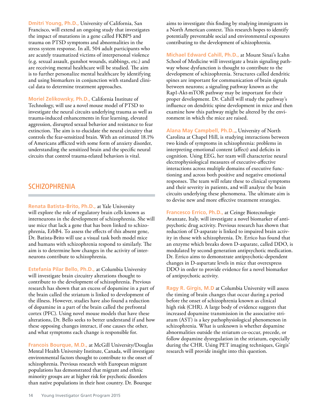**Dmitri Young, Ph.D.,** University of California, San Francisco, will extend an ongoing study that investigates the impact of mutations in a gene called FKBP5 and trauma on PTSD symptoms and abnormalities in the stress system response. In all, 504 adult participants who are acutely traumatized victims of interpersonal violence (e.g. sexual assault, gunshot wounds, stabbings, etc.) and are receiving mental healthcare will be studied. The aim is to further personalize mental healthcare by identifying and using biomarkers in conjunction with standard clinical data to determine treatment approaches.

**Moriel Zelikowsky, Ph.D.,** California Institute of Technology, will use a novel mouse model of PTSD to investigate the neural circuits underlying trauma as well as trauma-induced enhancements in fear learning, elevated aggression, disrupted sexual behavior and resistance to fear extinction. The aim is to elucidate the neural circuitry that controls the fear-sensitized brain. With an estimated 18.1% of Americans afflicted with some form of anxiety disorder, understanding the sensitized brain and the specific neural circuits that control trauma-related behaviors is vital.

#### **SCHIZOPHRENIA**

**Renata Batista-Brito, Ph.D.,** at Yale University will explore the role of regulatory brain cells known as interneurons in the development of schizophrenia. She will use mice that lack a gene that has been linked to schizophrenia, ErbB4. To assess the effects of this absent gene, Dr. Batista-Brito will use a visual task both model mice and humans with schizophrenia respond to similarly. The aim is to determine how changes in the activity of interneurons contribute to schizophrenia.

**Estefania Pilar Bello, Ph.D.,** at Columbia University will investigate brain circuitry alterations thought to contribute to the development of schizophrenia. Previous research has shown that an excess of dopamine in a part of the brain called the striatum is linked to development of the illness. However, studies have also found a reduction of dopamine in a part of the brain called the prefrontal cortex (PFC). Using novel mouse models that have these alterations, Dr. Bello seeks to better understand if and how these opposing changes interact, if one causes the other, and what symptoms each change is responsible for.

**Francois Bourque, M.D.,** at McGill University/Douglas Mental Health University Institute, Canada, will investigate environmental factors thought to contribute to the onset of schizophrenia. Previous research with European migrant populations has demonstrated that migrant and ethnic minority groups are at higher risk for psychotic disorders than native populations in their host country. Dr. Bourque

aims to investigate this finding by studying immigrants in a North American context. This research hopes to identify potentially preventable social and environmental exposures contributing to the development of schizophrenia.

**Michael Edward Cahill, Ph.D.,** at Mount Sinai's Icahn School of Medicine will investigate a brain signaling pathway whose dysfunction is thought to contribute to the development of schizophrenia. Structures called dendritic spines are important for communication of brain signals between neurons; a signaling pathway known as the Rap1-Akt-mTOR pathway may be important for their proper development. Dr. Cahill will study the pathway's influence on dendritic spine development in mice and then examine how this pathway might be altered by the environment in which the mice are raised.

**Alana May Campbell, Ph.D.,**, University of North Carolina at Chapel Hill, is studying interactions between two kinds of symptoms in schizophrenia: problems in interpreting emotional content (affect) and deficits in cognition. Using EEG, her team will characterize neural electrophysiological measures of executive-affective interactions across multiple domains of executive functioning and across both positive and negative emotional responses. The team will relate these to clinical symptoms and their severity in patients, and will analyze the brain circuits underlying these phenomena. The ultimate aim is to devise new and more effective treatment strategies.

**Francesco Errico, Ph.D.,** at Ceinge Biotecnologie Avanzate, Italy, will investigate a novel biomarker of antipsychotic drug activity. Previous research has shown that reduction of D-asparate is linked to impaired brain activity in those with schizophrenia. Dr. Errico has found that an enzyme which breaks down D-asparate, called DDO, is modulated by second-generation antipsychotic medication. Dr. Errico aims to demonstrate antipsychotic-dependent changes in D-aspartate levels in mice that overexpress DDO in order to provide evidence for a novel biomarker of antipsychotic activity.

**Ragy R. Girgis, M.D** at Columbia University will assess the timing of brain changes that occur during a period before the onset of schizophrenia known as clinical high risk (CHR). A large body of evidence suggests that increased dopamine transmission in the associative striatum (AST) is a key pathophysiological phenomenon in schizophrenia. What is unknown is whether dopamine abnormalities outside the striatum co-occur, precede, or follow dopamine dysregulation in the striatum, especially during the CHR. Using PET imaging techniques, Girgis' research will provide insight into this question.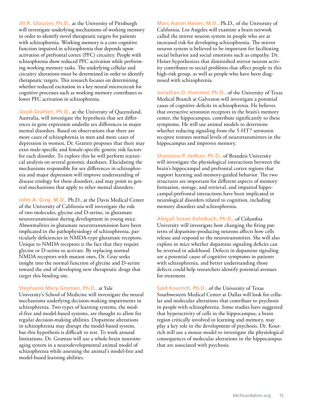**Jill R. Glausier, Ph.D.,** at the University of Pittsburgh will investigate underlying mechanisms of working memory in order to identify novel therapeutic targets for patients with schizophrenia. Working memory is a core cognitive function impaired in schizophrenia that depends upon activation of prefrontal cortex (PFC) circuitry. People with schizophrenia show reduced PFC activation while performing working memory tasks. The underlying cellular and circuitry alterations must be determined in order to identify therapeutic targets. This research focuses on determining whether reduced excitation in a key neural microcircuit for cognitive processes such as working memory contributes to lower PFC activation in schizophrenia.

Jacob Gratten, Ph.D., at the University of Queensland, Australia, will investigate the hypothesis that sex differences in gene expression underlie sex differences in major mental disorders. Based on observations that there are more cases of schizophrenia in men and more cases of depression in women, Dr. Gratten proposes that there may exist male-specific and female-specific genetic risk factors for each disorder. To explore this he will perform statistical analysis on several genomic databases. Elucidating the mechanisms responsible for sex differences in schizophrenia and major depression will improve understanding of disease etiology for these disorders, and may point to general mechanisms that apply to other mental disorders.

**John A. Gray, M.D.,** Ph.D., at the Davis Medical Center of the University of California will investigate the role of two molecules, glycine and D-serine, in glutamate neurotransmission during development in young mice. Abnormalities in glutamate neurotransmission have been implicated in the pathophysiology of schizophrenia, particularly deficiencies in NMDA-type glutamate receptors. Unique to NMDA receptors is the fact that they require glycine or D-serine to activate. By replacing normal NMDA receptors with mutant ones, Dr. Gray seeks insight into the normal function of glycine and D-serine toward the end of developing new therapeutic drugs that target this binding site.

#### **Stephanie Mary Groman, Ph.D.,** at Yale

University's School of Medicine will investigate the neural mechanisms underlying decision-making impairments in schizophrenia. Two types of learning systems, the model-free and model-based systems, are thought to allow for regular decision-making abilities. Dopamine alterations in schizophrenia may disrupt the model-based system, but this hypothesis is difficult to test. To work around limitations, Dr. Groman will use a whole-brain neuroimaging system in a neurodevelopmental animal model of schizophrenia while assessing the animal's model-free and model-based learning abilities.

**Marc Aaron Heiser, M.D.,** Ph.D., of the University of California, Los Angeles will examine a brain network called the mirror neuron system in people who are at increased risk for developing schizophrenia. The mirror neuron system is believed to be important for facilitating social behavior and social emotions such as empathy. Dr. Heiser hypothesizes that diminished mirror neuron activity contributes to social problems that affect people in this high-risk group, as well as people who have been diagnosed with schizophrenia.

**Jonathan D. Hommel, Ph.D.,** of the University of Texas Medical Branch at Galveston will investigate a potential cause of cognitive deficits in schizophrenia. He believes that overactive serotonin receptors in the brain's memory center, the hippocampus, contribute significantly to these symptoms. He will use animal models to determine whether reducing signaling from the 5-HT7 serotonin receptor restores normal levels of neurotransmitters in the hippocampus and improves memory.

**Shantanu P. Jadhav, Ph.D.,** of Brandeis University will investigate the physiological interactions between the brain's hippocampal and prefrontal cortex regions that support learning and memory-guided behavior. The two structures are important for different aspects of memory formation, storage, and retrieval, and impaired hippocampal-prefrontal interactions have been implicated in neurological disorders related to cognition, including memory disorders and schizophrenia.

**Abigail Susan Kalmbach, Ph.D.,** of Columbia University will investigate how changing the firing patterns of dopamine-producing neurons affects how cells release and respond to the neurotransmitter. She will also explore in mice whether dopamine signaling deficits can be reversed in adulthood. Defects in dopamine signaling are a potential cause of cognitive symptoms in patients with schizophrenia, and better understanding those defects could help researchers identify potential avenues for treatment.

**Said Kourrich, Ph.D.,** of the University of Texas Southwestern Medical Center at Dallas will look for cellular and molecular alterations that contribute to psychosis in people with schizophrenia. Some studies have suggested that hyperactivity of cells in the hippocampus, a brain region critically involved in learning and memory, may play a key role in the development of psychosis. Dr. Kourrich will use a mouse model to investigate the physiological consequences of molecular alterations in the hippocampus that are associated with psychosis.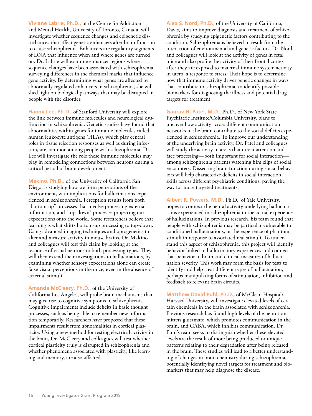**Viviane Labrie, Ph.D.,** of the Centre for Addiction and Mental Health, University of Toronto, Canada, will investigate whether sequence changes and epigenetic disturbances that affect genetic enhancers alter brain function to cause schizophrenia. Enhancers are regulatory segments of DNA that influence when and where genes are turned on. Dr. Labrie will examine enhancer regions where sequence changes have been associated with schizophrenia, surveying differences in the chemical marks that influence gene activity. By determining what genes are affected by abnormally regulated enhancers in schizophrenia, she will shed light on biological pathways that may be disrupted in people with the disorder.

**Hanmi Lee, Ph.D.,** of Stanford University will explore the link between immune molecules and neurological dysfunction in schizophrenia. Genetic studies have found that abnormalities within genes for immune molecules called human leukocyte antigens (HLAs), which play central roles in tissue rejection responses as well as during infection, are common among people with schizophrenia. Dr. Lee will investigate the role these immune molecules may play in remodeling connections between neurons during a critical period of brain development.

**Makino, Ph.D.,** of the University of California San Diego, is studying how we form perceptions of the environment, with implications for hallucinations experienced in schizophrenia. Perception results from both "bottom-up" processes that involve processing external information, and "top-down" processes projecting our expectations onto the world. Some researchers believe that learning is what shifts bottom-up processing to top-down. Using advanced imaging techniques and optogenetics to alter and measure activity in mouse brains, Dr. Makino and colleagues will test this claim by looking at the response of visual neurons to both processing types. They will then extend their investigations to hallucinations, by examining whether sensory expectations alone can create false visual perceptions in the mice, even in the absence of external stimuli.

**Amanda McCleery, Ph.D.,** of the University of California Los Angeles, will probe brain mechanisms that may give rise to cognitive symptoms in schizophrenia. Cognitive impairments include deficits in basic thought processes, such as being able to remember new information temporarily. Researchers have proposed that these impairments result from abnormalities in cortical plasticity. Using a new method for testing electrical activity in the brain, Dr. McCleery and colleagues will test whether cortical plasticity truly is disrupted in schizophrenia and whether phenomena associated with plasticity, like learning and memory, are also affected.

**Alex S. Nord, Ph.D.,** of the University of California, Davis, aims to improve diagnosis and treatment of schizophrenia by studying epigenetic factors contributing to the condition. Schizophrenia is believed to result from the interaction of environmental and genetic factors. Dr. Nord and colleagues will look at the activity of genes in fetal mice and also profile the activity of their frontal cortex after they are exposed to maternal immune system activity in utero, a response to stress. Their hope is to determine how that immune activity drives genetic changes in ways that contribute to schizophrenia, to identify possible biomarkers for diagnosing the illness and potential drug targets for treatment.

**Gaurav H. Patel, M.D.,** Ph.D., of New York State Psychiatric Institute/Columbia University, plans to uncover how activity across different communication networks in the brain contribute to the social deficits experienced in schizophrenia. To improve our understanding of the underlying brain activity, Dr. Patel and colleagues will study the activity in areas that direct attention and face processing—both important for social interaction among schizophrenia patients watching film clips of social encounters. Dissecting brain function during social behaviors will help characterize deficits in social interaction skills across different psychiatric conditions, paving the way for more targeted treatments.

**Albert R. Powers, M.D.,** Ph.D., of Yale University, hopes to connect the neural activity underlying hallucinations experienced in schizophrenia to the actual experience of hallucinations. In previous research, his team found that people with schizophrenia may be particular vulnerable to conditioned hallucinations, or the experience of phantom stimuli in response to associated real stimuli. To understand this aspect of schizophrenia, this project will identify behavior linked to hallucinatory experiences and connect that behavior to brain and clinical measures of hallucination severity. This work may form the basis for tests to identify and help treat different types of hallucination, perhaps manipulating forms of stimulation, inhibition and feedback to relevant brain circuits.

**Matthew David Puhl, Ph.D.,** of McClean Hospital/ Harvard University, will investigate elevated levels of certain chemicals in the brain associated with schizophrenia. Previous research has found high levels of the neurotransmitters glutamate, which promotes communication in the brain, and GABA, which inhibits communication. Dr. Puhl's team seeks to distinguish whether these elevated levels are the result of more being produced or unique patterns relating to their degradation after being released in the brain. These studies will lead to a better understanding of changes in brain chemistry during schizophrenia, potentially identifying novel targets for treatment and biomarkers that may help diagnose the disease.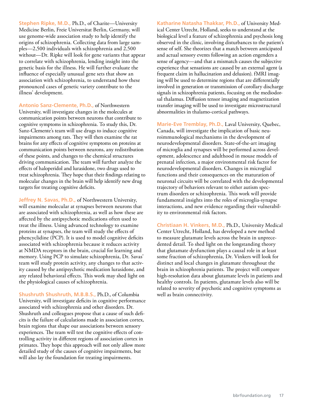**Stephen Ripke, M.D.,** Ph.D., of Charite—University Medicine Berlin, Freie Universitat Berlin, Germany, will use genome-wide association study to help identify the origins of schizophrenia. Collecting data from large samples—2,500 individuals with schizophrenia and 2,500 without—Dr. Ripke will look for gene variants that appear to correlate with schizophrenia, lending insight into the genetic basis for the illness. He will further evaluate the influence of especially unusual gene sets that show an association with schizophrenia, to understand how these pronounced cases of genetic variety contribute to the illness' development.

**Antonio Sanz-Clemente, Ph.D.,** of Northwestern University, will investigate changes in the molecules at communication points between neurons that contribute to cognitive symptoms in schizophrenia. To study this, Dr. Sanz-Clemente's team will use drugs to induce cognitive impairments among rats. They will then examine the rat brains for any effects of cognitive symptoms on proteins at communication points between neurons, any redistribution of these points, and changes to the chemical structures driving communication. The team will further analyze the effects of haloperidol and lurasidone, two drugs used to treat schizophrenia. They hope that their findings relating to molecular changes in the brain will help identify new drug targets for treating cognitive deficits.

**Jeffrey N. Savas, Ph.D.,** of Northwestern University, will examine molecular at synapses between neurons that are associated with schizophrenia, as well as how these are affected by the antipsychotic medications often used to treat the illness. Using advanced technology to examine proteins at synapses, the team will study the effects of phencyclidine (PCP). It is used to model cognitive deficits associated with schizophrenia because it reduces activity at NMDA receptors in the brain, crucial for learning and memory. Using PCP to simulate schizophrenia, Dr. Savas' team will study protein activity, any changes to that activity caused by the antipsychotic medication lurasidone, and any related behavioral effects. This work may shed light on the physiological causes of schizophrenia.

**Shushruth Shushruth, M.B.B.S.,** Ph.D., of Columbia University, will investigate deficits in cognitive performance associated with schizophrenia and other disorders. Dr. Shushruth and colleagues propose that a cause of such deficits is the failure of calculations made in association cortex, brain regions that shape our associations between sensory experiences. The team will test the cognitive effects of controlling activity in different regions of association cortex in primates. They hope this approach will not only allow more detailed study of the causes of cognitive impairments, but will also lay the foundation for treating impairments.

**Katharine Natasha Thakkar, Ph.D.,** of University Medical Center Utrecht, Holland, seeks to understand at the biological level a feature of schizophrenia and psychosis long observed in the clinic, involving disturbances to the patient's sense of self. She theorizes that a match between anticipated and actual sensory events following an action engenders a sense of agency—and that a mismatch causes the subjective experience that sensations are caused by an external agent (a frequent claim in hallucination and delusion). fMRI imaging will be used to determine regions that are differentially involved in generation or transmission of corollary discharge signals in schizophrenia patients, focusing on the mediodorsal thalamus. Diffusion tensor imaging and magnetization transfer imaging will be used to investigate microstructural abnormalities in thalamo-cortical pathways.

**Marie-Eve Tremblay, Ph.D.,** Laval University, Quebec, Canada, will investigate the implication of basic neuroimmunological mechanisms in the development of neurodevelopmental disorders. State-of-the-art imaging of microglia and synapses will be performed across development, adolescence and adulthood in mouse models of prenatal infection, a major environmental risk factor for neurodevelopmental disorders. Changes in microglial functions and their consequences on the maturation of neuronal circuits will be correlated with the developmental trajectory of behaviors relevant to either autism spectrum disorders or schizophrenia. This work will provide fundamental insights into the roles of microglia-synapse interactions, and new evidence regarding their vulnerability to environmental risk factors.

**Christiaan H. Vinkers, M.D.,** Ph.D., University Medical Center Utrecht, Holland, has developed a new method to measure glutamate levels across the brain in unprecedented detail. To shed light on the longstanding theory that glutamate dysfunction plays a causal role in at least some fraction of schizophrenia, Dr. Vinkers will look for distinct and local changes in glutamate throughout the brain in schizophrenia patients. The project will compare high-resolution data about glutamate levels in patients and healthy controls. In patients, glutamate levels also will be related to severity of psychotic and cognitive symptoms as well as brain connectivity.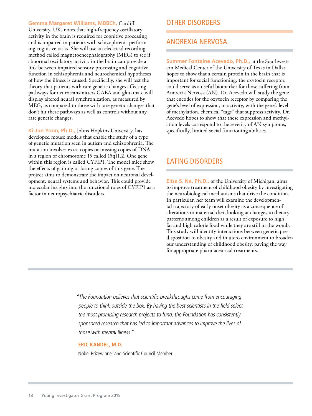**Gemma Margaret Williams, MBBCh,** Cardiff University, UK, notes that high-frequency oscillatory activity in the brain is required for cognitive processing and is impaired in patients with schizophrenia performing cognitive tasks. She will use an electrical recording method called magnetoencephalography (MEG) to see if abnormal oscillatory activity in the brain can provide a link between impaired sensory processing and cognitive function in schizophrenia and neurochemical hypotheses of how the illness is caused. Specifically, she will test the theory that patients with rare genetic changes affecting pathways for neurotransmitters GABA and glutamate will display altered neural synchronization, as measured by MEG, as compared to those with rare genetic changes that don't hit these pathways as well as controls without any rare genetic changes.

**Ki-Jun Yoon, Ph.D.,** Johns Hopkins University, has developed mouse models that enable the study of a type of genetic mutation seen in autism and schizophrenia. The mutation involves extra copies or missing copies of DNA in a region of chromosome 15 called 15q11.2. One gene within this region is called CYFIP1. The model mice show the effects of gaining or losing copies of this gene. The project aims to demonstrate the impact on neuronal development, neural systems and behavior. This could provide molecular insights into the functional roles of CYFIP1 as a factor in neuropsychiatric disorders.

#### OTHER DISORDERS

#### ANOREXIA NERVOSA

**Summer Fontaine Acevedo, Ph.D.,** at the Southwestern Medical Center of the University of Texas in Dallas hopes to show that a certain protein in the brain that is important for social functioning, the oxytocin receptor, could serve as a useful biomarker for those suffering from Anorexia Nervosa (AN). Dr. Acevedo will study the gene that encodes for the oxytocin receptor by comparing the gene's level of expression, or activity, with the gene's level of methylation, chemical "tags" that suppress activity. Dr. Acevedo hopes to show that these expression and methylation levels correspond to the severity of AN symptoms, specifically, limited social functioning abilities.

#### EATING DISORDERS

**Elisa S. Na, Ph.D.,** of the University of Michigan, aims to improve treatment of childhood obesity by investigating the neurobiological mechanisms that drive the condition. In particular, her team will examine the developmental trajectory of early onset obesity as a consequence of alterations to maternal diet, looking at changes to dietary patterns among children as a result of exposure to high fat and high calorie food while they are still in the womb. This study will identify interactions between genetic predisposition to obesity and in utero environment to broaden our understanding of childhood obesity, paving the way for appropriate pharmaceutical treatments.

"The Foundation believes that scientific breakthroughs come from encouraging people to think outside the box. By having the best scientists in the field select the most promising research projects to fund, the Foundation has consistently sponsored research that has led to important advances to improve the lives of those with mental illness."

#### **ERIC KANDEL, M.D.**

Nobel Prizewinner and Scientific Council Member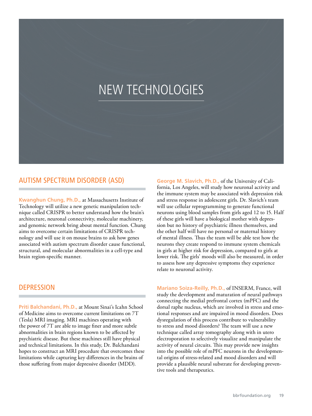## NEW TECHNOLOGIES

#### AUTISM SPECTRUM DISORDER (ASD)

**Kwanghun Chung, Ph.D.,** at Massachusetts Institute of Technology will utilize a new genetic manipulation technique called CRISPR to better understand how the brain's architecture, neuronal connectivity, molecular machinery, and genomic network bring about mental function. Chung aims to overcome certain limitations of CRISPR technology and will use it on mouse brains to ask how genes associated with autism spectrum disorder cause functional, structural, and molecular abnormalities in a cell-type and brain region-specific manner.

#### **DEPRESSION**

**Priti Balchandani, Ph.D.,** at Mount Sinai's Icahn School of Medicine aims to overcome current limitations on 7T (Tesla) MRI imaging. MRI machines operating with the power of 7T are able to image finer and more subtle abnormalities in brain regions known to be affected by psychiatric disease. But these machines still have physical and technical limitations. In this study, Dr. Balchandani hopes to construct an MRI procedure that overcomes these limitations while capturing key differences in the brains of those suffering from major depressive disorder (MDD).

**George M. Slavich, Ph.D.,** of the University of California, Los Angeles, will study how neuronal activity and the immune system may be associated with depression risk and stress response in adolescent girls. Dr. Slavich's team will use cellular reprogramming to generate functional neurons using blood samples from girls aged 12 to 15. Half of these girls will have a biological mother with depression but no history of psychiatric illness themselves, and the other half will have no personal or maternal history of mental illness. Thus the team will be able test how the neurons they create respond to immune system chemicals in girls at higher risk for depression, compared to girls at lower risk. The girls' moods will also be measured, in order to assess how any depressive symptoms they experience relate to neuronal activity.

**Mariano Soiza-Reilly, Ph.D.,** of INSERM, France, will study the development and maturation of neural pathways connecting the medial prefrontal cortex (mPFC) and the dorsal raphe nucleus, which are involved in stress and emotional responses and are impaired in mood disorders. Does dysregulation of this process contribute to vulnerability to stress and mood disorders? The team will use a new technique called array tomography along with in utero electroporation to selectively visualize and manipulate the activity of neural circuits. This may provide new insights into the possible role of mPFC neurons in the developmental origins of stress-related and mood disorders and will provide a plausible neural substrate for developing preventive tools and therapeutics.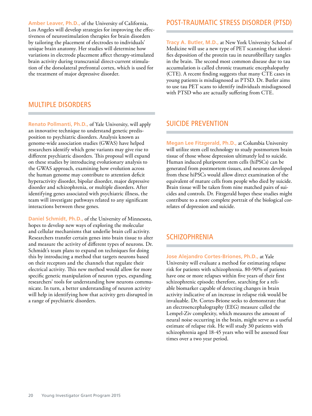**Amber Leaver, Ph.D.,** of the University of California, Los Angeles will develop strategies for improving the effectiveness of neurostimulation therapies for brain disorders by tailoring the placement of electrodes to individuals' unique brain anatomy. Her studies will determine how variations in electrode placement affect therapy-stimulated brain activity during transcranial direct-current stimulation of the dorsolateral prefrontal cortex, which is used for the treatment of major depressive disorder.

#### MULTIPLE DISORDERS

**Renato Pollmanti, Ph.D.,** of Yale University, will apply an innovative technique to understand genetic predisposition to psychiatric disorders. Analysis known as genome-wide association studies (GWAS) have helped researchers identify which gene variants may give rise to different psychiatric disorders. This proposal will expand on these studies by introducing evolutionary analysis to the GWAS approach, examining how evolution across the human genome may contribute to attention deficit hyperactivity disorder, bipolar disorder, major depressive disorder and schizophrenia, or multiple disorders. After identifying genes associated with psychiatric illness, the team will investigate pathways related to any significant interactions between these genes.

**Daniel Schmidt, Ph.D.,** of the University of Minnesota, hopes to develop new ways of exploring the molecular and cellular mechanisms that underlie brain cell activity. Researchers transfer certain genes into brain tissue to alter and measure the activity of different types of neurons. Dr. Schmidt's team plans to expand on techniques for doing this by introducing a method that targets neurons based on their receptors and the channels that regulate their electrical activity. This new method would allow for more specific genetic manipulation of neuron types, expanding researchers' tools for understanding how neurons communicate. In turn, a better understanding of neuron activity will help in identifying how that activity gets disrupted in a range of psychiatric disorders.

#### POST-TRAUMATIC STRESS DISORDER (PTSD)

**Tracy A. Butler, M.D.,** at New York University School of Medicine will use a new type of PET scanning that identifies deposition of the protein tau in neurofibrillary tangles in the brain. The second most common disease due to tau accumulation is called chronic traumatic encephalopathy (CTE). A recent finding suggests that many CTE cases in young patients is misdiagnosed as PTSD. Dr. Butler aims to use tau PET scans to identify individuals misdiagnosed with PTSD who are actually suffering from CTE.

#### SUICIDE PREVENTION

**Megan Lee Fitzgerald, Ph.D.,** at Columbia University will utilize stem cell technology to study postmortem brain tissue of those whose depression ultimately led to suicide. Human induced pluripotent stem cells (hiPSCs) can be generated from postmortem tissues, and neurons developed from these hiPSCs would allow direct examination of the equivalent of mature cells from people who died by suicide. Brain tissue will be taken from nine matched pairs of suicides and controls. Dr. Fitzgerald hopes these studies might contribute to a more complete portrait of the biological correlates of depression and suicide.

#### **SCHIZOPHRENIA**

**Jose Alejandro Cortes-Briones, Ph.D.,** at Yale University will evaluate a method for estimating relapse risk for patients with schizophrenia. 80-90% of patients have one or more relapses within five years of their first schizophrenic episode; therefore, searching for a reliable biomarker capable of detecting changes in brain activity indicative of an increase in relapse risk would be invaluable. Dr. Cortes-Brione seeks to demonstrate that an electroencephalography (EEG) measure called the Lempel-Ziv complexity, which measures the amount of neural noise occurring in the brain, might serve as a useful estimate of relapse risk. He will study 30 patients with schizophrenia aged 18-45 years who will be assessed four times over a two year period.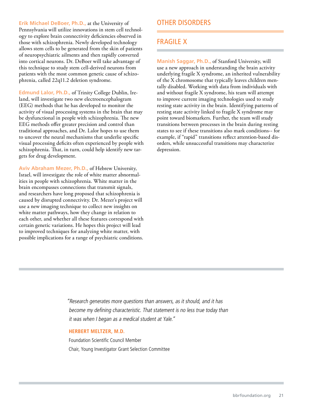**Erik Michael DeBoer, Ph.D.,** at the University of Pennsylvania will utilize innovations in stem cell technology to explore brain connectivity deficiencies observed in those with schizophrenia. Newly developed technology allows stem cells to be generated from the skin of patients of neuropsychiatric ailments and then rapidly converted into cortical neurons. Dr. DeBoer will take advantage of this technique to study stem cell-derived neurons from patients with the most common genetic cause of schizophrenia, called 22q11.2 deletion syndrome.

**Edmund Lalor, Ph.D.,** of Trinity College Dublin, Ireland, will investigate two new electroencephalogram (EEG) methods that he has developed to monitor the activity of visual processing systems in the brain that may be dysfunctional in people with schizophrenia. The new EEG methods offer greater precision and control than traditional approaches, and Dr. Lalor hopes to use them to uncover the neural mechanisms that underlie specific visual processing deficits often experienced by people with schizophrenia. That, in turn, could help identify new targets for drug development.

**Aviv Abraham Mezer, Ph.D.,** of Hebrew University, Israel, will investigate the role of white matter abnormalities in people with schizophrenia. White matter in the brain encompasses connections that transmit signals, and researchers have long proposed that schizophrenia is caused by disrupted connectivity. Dr. Mezer's project will use a new imaging technique to collect new insights on white matter pathways, how they change in relation to each other, and whether all these features correspond with certain genetic variations. He hopes this project will lead to improved techniques for analyzing white matter, with possible implications for a range of psychiatric conditions.

#### OTHER DISORDERS

#### FRAGILE X

**Manish Saggar, Ph.D.,** of Stanford University, will use a new approach in understanding the brain activity underlying fragile X syndrome, an inherited vulnerability of the X chromosome that typically leaves children mentally disabled. Working with data from individuals with and without fragile X syndrome, his team will attempt to improve current imaging technologies used to study resting state activity in the brain. Identifying patterns of resting state activity linked to fragile X syndrome may point toward biomarkers. Further, the team will study transitions between processes in the brain during resting states to see if these transitions also mark conditions-- for example, if "rapid" transitions reflect attention-based disorders, while unsuccessful transitions may characterize depression.

"Research generates more questions than answers, as it should, and it has become my defining characteristic. That statement is no less true today than it was when I began as a medical student at Yale."

#### **HERBERT MELTZER, M.D.**

Foundation Scientific Council Member Chair, Young Investigator Grant Selection Committee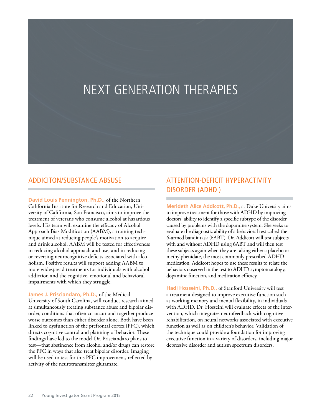## NEXT GENERATION THERAPIES

#### ADDICITON/SUBSTANCE ABSUSE

**David Louis Pennington, Ph.D.,** of the Northern California Institute for Research and Education, University of California, San Francisco, aims to improve the treatment of veterans who consume alcohol at hazardous levels. His team will examine the efficacy of Alcohol Approach Bias Modification (AABM), a training technique aimed at reducing people's motivation to acquire and drink alcohol. AABM will be tested for effectiveness in reducing alcohol approach and use, and in reducing or reversing neurocognitive deficits associated with alcoholism. Positive results will support adding AABM to more widespread treatments for individuals with alcohol addiction and the cognitive, emotional and behavioral impairments with which they struggle.

#### **James J. Prisciandaro, Ph.D.,** of the Medical

University of South Carolina, will conduct research aimed at simultaneously treating substance abuse and bipolar disorder, conditions that often co-occur and together produce worse outcomes than either disorder alone. Both have been linked to dysfunction of the prefrontal cortex (PFC), which directs cognitive control and planning of behavior. These findings have led to the model Dr. Prisciandaro plans to test—that abstinence from alcohol and/or drugs can restore the PFC in ways that also treat bipolar disorder. Imaging will be used to test for this PFC improvement, reflected by activity of the neurotransmitter glutamate.

#### ATTENTION-DEFICIT HYPERACTIVITY DISORDER (ADHD )

**Merideth Alice Addicott, Ph.D.,** at Duke University aims to improve treatment for those with ADHD by improving doctors' ability to identify a specific subtype of the disorder caused by problems with the dopamine system. She seeks to evaluate the diagnostic ability of a behavioral test called the 6-armed bandit task (6ABT). Dr. Addicott will test subjects with and without ADHD using 6ABT and will then test these subjects again when they are taking either a placebo or methylphenidate, the most commonly prescribed ADHD medication. Addicott hopes to use these results to relate the behaviors observed in the test to ADHD symptomatology, dopamine function, and medication efficacy.

**Hadi Hosseini, Ph.D.,** of Stanford University will test a treatment designed to improve executive function such as working memory and mental flexibility, in individuals with ADHD. Dr. Hosseini will evaluate effects of the intervention, which integrates neurofeedback with cognitive rehabilitation, on neural networks associated with executive function as well as on children's behavior. Validation of the technique could provide a foundation for improving executive function in a variety of disorders, including major depressive disorder and autism spectrum disorders.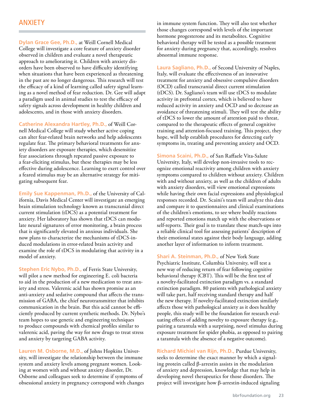#### ANXIETY

**Dylan Grace Gee, Ph.D.,** at Weill Cornell Medical College will investigate a core feature of anxiety disorder observed in children and evaluate a novel therapeutic approach to ameliorating it. Children with anxiety disorders have been observed to have difficulty identifying when situations that have been experienced as threatening in the past are no longer dangerous. This research will test the efficacy of a kind of learning called safety signal learning as a novel method of fear reduction. Dr. Gee will adapt a paradigm used in animal studies to test the efficacy of safety signals across development in healthy children and adolescents, and in those with anxiety disorders.

**Catherine Alexandra Hartley, Ph.D.,** of Weill Cornell Medical College will study whether active coping can alter fear-related brain networks and help adolescents regulate fear. The primary behavioral treatments for anxiety disorders are exposure therapies, which desensitize fear associations through repeated passive exposure to a fear-eliciting stimulus, but these therapies may be less effective during adolescence. Learning to exert control over a feared stimulus may be an alternative strategy for mitigating subsequent fear.

**Emily Sue Kappenman, Ph.D.,** of the University of California, Davis Medical Center will investigate an emerging brain stimulation technology known as transcranial direct current stimulation (tDCS) as a potential treatment for anxiety. Her laboratory has shown that tDCS can modulate neural signatures of error monitoring, a brain process that is significantly elevated in anxious individuals. She now plans to characterize the mechanisms of tDCS-induced modulations in error-related brain activity and examine the role of tDCS in modulating that activity in a model of anxiety.

**Stephen Eric Nybo, Ph.D.,** of Ferris State University, will pilot a new method for engineering E. coli bacteria to aid in the production of a new medication to treat anxiety and stress. Valerenic acid has shown promise as an anti-anxiety and sedative compound that affects the transmission of GABA, the chief neurotransmitter that inhibits communication in the brain. But this acid cannot be efficiently produced by current synthetic methods. Dr. Nybo's team hopes to use genetic and engineering techniques to produce compounds with chemical profiles similar to valerenic acid, paving the way for new drugs to treat stress and anxiety by targeting GABA activity.

**Lauren M. Osborne, M.D.,** of Johns Hopkins University, will investigate the relationship between the immune system and anxiety levels among pregnant women. Looking at women with and without anxiety disorder, Dr. Osborne and colleagues seek to determine if symptoms of obsessional anxiety in pregnancy correspond with changes in immune system function. They will also test whether those changes correspond with levels of the important hormone progesterone and its metabolites. Cognitive behavioral therapy will be tested as a possible treatment for anxiety during pregnancy that, accordingly, resolves abnormal immune response.

**Laura Sagliano, Ph.D.,** of Second University of Naples, Italy, will evaluate the effectiveness of an innovative treatment for anxiety and obsessive compulsive disorders (OCD) called transcranial direct current stimulation (tDCS). Dr. Sagliano's team will use tDCS to modulate activity in prefrontal cortex, which is believed to have reduced activity in anxiety and OCD and so decrease an avoidance of threatening stimuli. They will test the ability of tDCS to lower the amount of attention paid to threat, compared to the therapeutic effects of general cognitive training and attention-focused training. This project, they hope, will help establish procedures for detecting early symptoms in, treating and preventing anxiety and OCD.

**Simona Scaini, Ph.D.,** of San Raffaele Vita-Salute University, Italy, will develop non-invasive tools to recognize emotional reactivity among children with anxiety symptoms compared to children without anxiety. Children with and without anxiety, as well as the children of adults with anxiety disorders, will view emotional expressions while having their own facial expressions and physiological responses recorded. Dr. Scaini's team will analyze this data and compare it to questionnaires and clinical examinations of the children's emotions, to see where bodily reactions and reported emotions match up with the observations or self-reports. Their goal is to translate these match-ups into a reliable clinical tool for assessing patients' description of their emotional states against their body language, adding another layer of information to inform treatment.

**Shari A. Steinman, Ph.D.,** of New York State Psychiatric Institute, Columbia University, will test a new way of reducing return of fear following cognitive behavioral therapy (CBT). This will be the first test of a novelty-facilitated extinction paradigm vs. a standard extinction paradigm. 80 patients with pathological anxiety will take part, half receiving standard therapy and half the new therapy. If novelty-facilitated extinction similarly affects those with pathological anxiety as it does healthy people, this study will be the foundation for research evaluating effects of adding novelty to exposure therapy (e.g., pairing a tarantula with a surprising, novel stimulus during exposure treatment for spider phobia, as opposed to pairing a tarantula with the absence of a negative outcome).

**Richard Michiel van Rijn, Ph.D.,** Purdue University, seeks to determine the exact manner by which a signaling protein called β-arrestin assists in the modulation of anxiety and depression, knowledge that may help in developing novel therapeutics for those disorders. The project will investigate how β-arrestin-induced signaling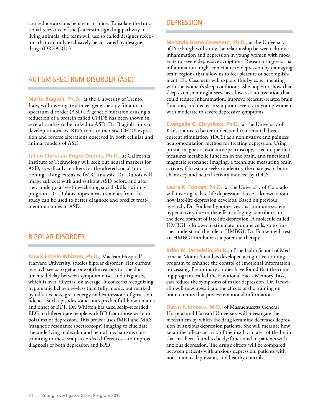can reduce anxious behavior in mice. To isolate the functional relevance of the β-arrestin signaling pathway in living animals, the team will use so called designer receptors that can only exclusively be activated by designer drugs (DREADDs).

#### AUTISM SPECTRUM DISORDER (ASD)

**Marta Biagioli, Ph.D.,** at the University of Trento, Italy, will investigate a novel gene therapy for autism spectrum disorder (ASD). A genetic mutation causing a reduction of a protein called CHD8 has been shown in several studies to be linked to ASD. Dr. Biagioli aims to develop innovative RNA tools to increase CHD8 expression and reverse alterations observed in both cellular and animal models of ASD.

**Julien Christian Roger Dubois, Ph.D.,** at California Institute of Technology will seek out neural markers for ASD, specifically markers for the altered social functioning. Using extensive fMRI analysis, Dr. Dubois will image subjects with and without ASD before and after they undergo a 14–16 week-long social skills training program. Dr. Dubois hopes measurements from this study can be used to better diagnose and predict treatment outcomes in ASD.

#### BIPOLAR DISORDER

**Alexis Estelle Whitton, Ph.D.,** Maclean Hospital/ Harvard University, studies bipolar disorder. Her current research seeks to get at one of the reasons for the documented delay between symptom onset and diagnosis, which is over 10 years, on average. It concerns recognizing hypomanic behavior—less than fully manic, but marked by talkativeness, great energy and expressions of great confidence. Such episodes sometimes predict full blown mania and onset of BDP. Dr. Whitton has used scalp-recorded EEG to differentiate people with BD from those with unipolar major depression. This project uses fMRI and MRS (magnetic resonance spectroscopy) imaging to elucidate the underlying molecular and neural mechanisms contributing to these scalp-recorded differences—to improve diagnosis of both depression and BPD

#### **DEPRESSION**

**Melynda Diane Casement, Ph.D.,** at the University of Pittsburgh will study the relationship between chronic inflammation and depression in young women with moderate to severe depressive symptoms. Research suggests that inflammation might contribute to depression by damaging brain regions that allow us to feel pleasure or accomplishment. Dr. Casement will explore this by experimenting with the women's sleep conditions. She hopes to show that sleep extension might serve as a low-risk intervention that could reduce inflammation, improve pleasure-related brain function, and decrease symptom severity in young women with moderate to severe depressive symptoms.

**Evangelia G. Chrysikou, Ph.D.,** at the University of Kansas aims to better understand transcranial direct current stimulation (tDCS) as a noninvasive and painless neuromodulation method for treating depression. Using proton magnetic resonance spectroscopy, a technique that measures metabolic function in the brain, and functional magnetic resonance imaging, a technique measuring brain activity, Chrysikou seeks to identify the changes in brain chemistry and neural activity induced by tDCS.

**Laura K. Fonken, Ph.D.,** at the University of Colorado will investigate late-life depression. Little is known about how late-life depression develops. Based on previous research, Dr. Fonken hypothesizes that immune system hyperactivity due to the effects of aging contributes to the development of late-life depression. A molecule called HMBG1 is known to stimulate immune cells, so to further understand the role of HMBG1, Dr. Fonken will test an HMBG1 inhibitor as a potential therapy.

**Brian M. Iacoviello, Ph.D.,** of the Icahn School of Medicine at Mount Sinai has developed a cognitive training program to enhance the control of emotional information processing. Preliminary studies have found that the training program, called the Emotional Faces Memory Task, can reduce the symptoms of major depression. Dr. Iacoviello will now investigate the effects of the training on brain circuits that process emotional information.

**Dawn F. Ionescu, M.D.,** of Massachusetts General Hospital and Harvard University will investigate the mechanism by which the drug ketamine decreases depression in anxious depression patients. She will measure how ketamine affects activity of the insula, an area of the brain that has been found to be dysfunctional in patients with anxious depression. The drug's effects will be compared between patients with anxious depression, patients with non-anxious depression, and healthy controls.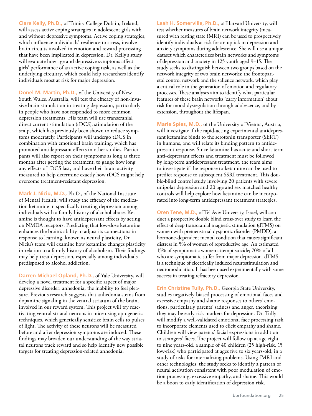**Clare Kelly, Ph.D.,** of Trinity College Dublin, Ireland, will assess active coping strategies in adolescent girls with and without depressive symptoms. Active coping strategies, which influence individuals' resilience to stress, involve brain circuits involved in emotion and reward processing that have been implicated in depression. Dr. Kelly's study will evaluate how age and depressive symptoms affect girls' performance of an active coping task, as well as the underlying circuitry, which could help researchers identify individuals most at risk for major depression.

**Donel M. Martin, Ph.D.,** of the University of New South Wales, Australia, will test the efficacy of non-invasive brain stimulation in treating depression, particularly in people who have not responded to more common depression treatments. His team will use transcranial direct current stimulation (tDCS), stimulation of the scalp, which has previously been shown to reduce symptoms moderately. Participants will undergo tDCS in combination with emotional brain training, which has promoted antidepressant effects in other studies. Participants will also report on their symptoms as long as three months after getting the treatment, to gauge how long any effects of tDCS last, and have their brain activity measured to help determine exactly how tDCS might help overcome treatment-resistant depression.

**Mark J. Niciu, M.D.,** Ph.D., of the National Institute of Mental Health, will study the efficacy of the medication ketamine in specifically treating depression among individuals with a family history of alcohol abuse. Ketamine is thought to have antidepressant effects by acting on NMDA receptors. Predicting that low-dose ketamine enhances the brain's ability to adjust its connections in response to learning, known as neural plasticity, Dr. Niciu's team will examine how ketamine changes plasticity in relation to a family history of alcoholism. Their findings may help treat depression, especially among individuals predisposed to alcohol addiction.

**Darren Michael Opland, Ph.D.,** of Yale University, will develop a novel treatment for a specific aspect of major depressive disorder: anhedonia, the inability to feel pleasure. Previous research suggests that anhedonia stems from dopamine signaling in the ventral striatum of the brain, involved in our reward system. This project will try reactivating ventral striatal neurons in mice using optogenetic techniques, which genetically sensitize brain cells to pulses of light. The activity of these neurons will be measured before and after depression symptoms are induced. These findings may broaden our understanding of the way striatal neurons track reward and so help identify new possible targets for treating depression-related anhedonia.

**Leah H. Somerville, Ph.D.,** of Harvard University, will test whether measures of brain network integrity (measured with resting state fMRI) can be used to prospectively identify individuals at risk for an uptick in depression and anxiety symptoms during adolescence. She will use a unique dataset which characterizes brain networks and symptoms of depression and anxiety in 125 youth aged 9–15. The study seeks to distinguish between two groups based on the network integrity of two brain networks: the frontoparietal control network and the salience network, which play a critical role in the generation of emotion and regulatory processes. These analyses aim to identify what particular features of these brain networks 'carry information' about risk for mood dysregulation through adolescence, and by extension, throughout the lifespan.

**Marie Spies, M.D.,** of the University of Vienna, Austria, will investigate if the rapid-acting experimental antidepressant ketamine binds to the serotonin transporter (SERT) in humans, and will relate its binding pattern to antidepressant response. Since ketamine has acute and short-term anti-depressant effects and treatment must be followed by long-term antidepressant treatment, the team aims to investigate if the response to ketamine can be used to predict response to subsequent SSRI treatment. This double-blind control study involving 20 patients with severe unipolar depression and 20 age and sex matched healthy controls will help explore how ketamine can be incorporated into long-term antidepressant treatment strategies.

**Oren Tene, M.D.,** of Tel Aviv University, Israel, will conduct a prospective double blind cross-over study to learn the effect of deep transcranial magnetic stimulation (dTMS) on women with premenstrual dysphoric disorder (PMDD), a hormone-dependent mental condition that causes significant distress in 5% of women of reproductive age. An estimated 15% of symptomatic women attempt suicide; 70% of all who are symptomatic suffer from major depression. dTMS is a technique of electrically induced neurostimulation and neuromodulation. It has been used experimentally with some success in treating refractory depression.

**Erin Christine Tully, Ph.D.,** Georgia State University, studies negatively-biased processing of emotional faces and excessive empathy and shame responses to others' emotions, particularly parents' sadness and anger, theorizing they may be early-risk markers for depression. Dr. Tully will modify a well-validated emotional face processing task to incorporate elements used to elicit empathy and shame. Children will view parents' facial expressions in addition to strangers' faces. The project will follow up at age eight to nine years-old, a sample of 40 children (25 high-risk, 15 low-risk) who participated at ages five to six years-old, in a study of risks for internalizing problems. Using fMRI and other technologies, the study seeks to identify a pattern of neural activation consistent with poor modulation of emotion processing, excessive empathy, and shame. This would be a boon to early identification of depression risk.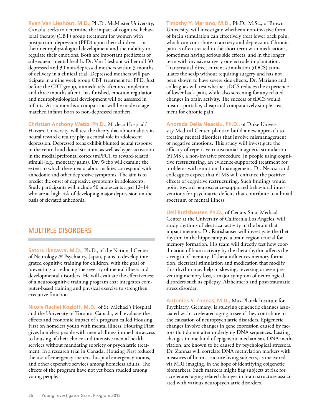**Ryan Van Lieshout, M.D.,** Ph.D., McMaster University, Canada, seeks to determine the impact of cognitive behavioral therapy (CBT) group treatment for women with postpartum depression (PPD) upon their children—in their neurophysiological development and their ability to regulate their emotions. Both are important predictors of subsequent mental health. Dr. Van Lieshout will enroll 30 depressed and 30 non-depressed mothers within 3 months of delivery in a clinical trial. Depressed mothers will participate in a nine week group CBT treatment for PPD. Just before the CBT group, immediately after its completion, and three months after it has finished, emotion regulation and neurophysiological development will be assessed in infants. At six months a comparison will be made to agematched infants born to non-depressed mothers.

**Christian Anthony Webb, Ph.D.,** Maclean Hospital/ Harvard University, will test the theory that abnormalities in neural reward circuitry play a central role in adolescent depression. Depressed teens exhibit blunted neural response in the ventral and dorsal striatum, as well as hyper-activation in the medial prefrontal cortex (mPFC), to reward-related stimuli (e.g., monetary gains). Dr. Webb will examine the extent to which these neural abnormalities correspond with anhedonic and other depressive symptoms. The aim is to predict the onset of depressive symptoms in adolescents. Study participants will include 50 adolescents aged 12–14 who are at high-risk of developing major depres-sion on the basis of elevated anhedonia.

#### MULTIPLE DISORDERS

**Satoru Ikezawa, M.D.,** Ph.D., of the National Center of Neurology & Psychiatry, Japan, plans to develop integrated cognitive training for children, with the goal of preventing or reducing the severity of mental illness and developmental disorders. He will evaluate the effectiveness of a neurocognitive training program that integrates computer-based training and physical exercise to strengthen executive function.

**Nicole Rachel Kozloff, M.D.,** of St. Michael's Hospital and the University of Toronto, Canada, will evaluate the effects and economic impact of a program called Housing First on homeless youth with mental illness. Housing First gives homeless people with mental illness immediate access to housing of their choice and intensive mental health services without mandating sobriety or psychiatric treatment. In a research trial in Canada, Housing First reduced the use of emergency shelters, hospital emergency rooms, and other expensive services among homeless adults. The effects of the program have not yet been studied among young people.

**Timothy Y. Mariano, M.D.,** Ph.D., M.Sc., of Brown University, will investigate whether a non-invasive form of brain stimulation can effectively treat lower back pain, which can contribute to anxiety and depression. Chronic pain is often treated in the short-term with medications, sometimes having serious side effects, and in the longer term with invasive surgery or electrode implantation. Transcranial direct current stimulation (tDCS) stimulates the scalp without requiring surgery and has not been shown to have severe side effects. Dr. Mariano and colleagues will test whether tDCS reduces the experience of lower back pain, while also screening for any related changes in brain activity. The success of tDCS would mean a portable, cheap and comparatively simple treatment for chronic pain.

**Andrada Delia Neacsiu, Ph.D.,** of Duke University Medical Center, plans to build a new approach to treating mental disorders that involve mismanagement of negative emotions. This study will investigate the efficacy of repetitive transcranial magnetic stimulation (rTMS), a non-invasive procedure, in people using cognitive restructuring, an evidence-supported treatment for problems with emotional management. Dr. Neacsia and colleagues expect that rTMS will enhance the positive effects of cognitive restructuring. Such findings would point toward neuroscience-supported behavioral interventions for psychiatric deficits that contribute to a broad spectrum of mental illness.

**Ueli Rutishauser, Ph.D.,** of Cedars-Sinai Medical Center at the University of California Los Angeles, will study rhythms of electrical activity in the brain that impact memory. Dr. Rutishauser will investigate the theta rhythm in the hippocampus, a brain region crucial for memory formation. His team will directly test how coordination of brain activity by the theta rhythm affects the strength of memory. If theta influences memory formation, electrical stimulation and medication that modify this rhythm may help in slowing, reversing or even preventing memory loss, a major symptom of neurological disorders such as epilepsy, Alzheimer's and post-traumatic stress disorder.

**Antonios S. Zannas, M.D.,** Max-Planck Institute for Psychiatry, Germany, is studying epigenetic changes associated with accelerated aging to see if they contribute to the causation of neuropsychiatric disorders. Epigenetic changes involve changes in gene expression caused by factors that do not alter underlying DNA sequences. Lasting changes in one kind of epigenetic mechanism, DNA methylation, are known to be caused by psychological stressors. Dr. Zannas will correlate DNA methylation markers with measures of brain structure living subjects, as measured via MRI imaging, in the hope of identifying epigenetic biomarkers. Such markers might flag subjects at risk for accelerated aging-related changes in brain structure associated with various neuropsychiatric disorders.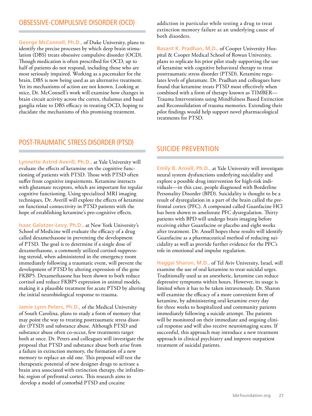#### OBSESSIVE-COMPULSIVE DISORDER (OCD)

**George McConnell, Ph.D.,** of Duke University, plans to identify the precise processes by which deep brain stimulation (DBS) treats obsessive compulsive disorder (OCD). Though medication is often prescribed for OCD, up to half of patients do not respond, including those who are most seriously impaired. Working as a pacemaker for the brain, DBS is now being used as an alternative treatment. Yet its mechanisms of action are not known. Looking at mice, Dr. McConnell's work will examine how changes in brain circuit activity across the cortex, thalamus and basal ganglia relate to DBS efficacy in treating OCD, hoping to elucidate the mechanisms of this promising treatment.

addiction in particular while testing a drug to treat extinction memory failure as an underlying cause of both disorders.

**Basant K. Pradhan, M.D.,** of Cooper University Hospital & Cooper Medical School of Rowan University, plans to replicate his prior pilot study supporting the use of ketamine with cognitive behavioral therapy to treat posttraumatic stress disorder (PTSD). Ketamine regulates levels of glutamate. Dr. Pradhan and colleagues have found that ketamine treats PTSD most effectively when combined with a form of therapy known as TIMBER— Trauma Interventions using Mindfulness Based Extinction and Reconsolidation of trauma memories. Extending their pilot findings would help support novel pharmacological treatments for PTSD.

#### POST-TRAUMATIC STRESS DISORDER (PTSD)

**Lynnette Astrid Averill, Ph.D.,** at Yale University will evaluate the effects of ketamine on the cognitive functioning of patients with PTSD. Those with PTSD often suffer from cognitive impairments. Ketamine interacts with glutamate receptors, which are important for regular cognitive functioning. Using specialized MRI imaging techniques, Dr. Averill will explore the effects of ketamine on functional connectivity in PTSD patients with the hope of establishing ketamine's pro-cognitive effects.

**Isaac Galatzer-Levy, Ph.D.,** at New York University's School of Medicine will evaluate the efficacy of a drug called dexamethasone in preventing the development of PTSD. The goal is to determine if a single dose of dexamethasone, a commonly utilized cortisol-suppressing steroid, when administered in the emergency room immediately following a traumatic event, will prevent the development of PTSD by altering expression of the gene FKBP5. Dexamethasone has been shown to both reduce cortisol and reduce FKBP5 expression in animal models, making it a plausible treatment for acute PTSD by altering the initial neurobiological response to trauma.

**Jamie Lynn Peters, Ph.D.,** of the Medical University of South Carolina, plans to study a form of memory that may point the way to treating posttraumatic stress disorder (PTSD) and substance abuse. Although PTSD and substance abuse often co-occur, few treatments target both at once. Dr. Peters and colleagues will investigate the proposal that PTSD and substance abuse both arise from a failure in extinction memory, the formation of a new memory to replace an old one. This proposal will test the therapeutic potential of new designer drugs to activate a brain area associated with extinction therapy, the infralimbic region of prefrontal cortex. This research aims to develop a model of comorbid PTSD and cocaine

#### SUICIDE PREVENTION

**Emily B. Ansell, Ph.D.,** at Yale University will investigate neural system dysfunctions underlying suicidality and explore a possible drug intervention for high-risk individuals—in this case, people diagnosed with Borderline Personality Disorder (BPD). Suicidality is thought to be a result of dysregulation in a part of the brain called the prefrontal cortex (PFC). A compound called Guanfacine HCl has been shown to ameliorate PFC dysregulation. Thirty patients with BPD will undergo brain imaging before receiving either Guanfacine or placebo and eight weeks after treatment. Dr. Ansell hopes these results will identify Guanfacine as a pharmaceutical method of reducing suicidality as well as provide further evidence for the PFC's role in emotional and impulse regulation.

**Haggai Sharon, M.D.,** of Tel Aviv University, Israel, will examine the use of oral ketamine to treat suicidal urges. Traditionally used as an anesthetic, ketamine can reduce depressive symptoms within hours. However, its usage is limited when it has to be taken intravenously. Dr. Sharon will examine the efficacy of a more convenient form of ketamine, by administering oral ketamine every day for three weeks to hospitalized and community patients immediately following a suicide attempt. The patients will be monitored on their immediate and ongoing clinical response and will also receive neuroimaging scans. If successful, this approach may introduce a new treatment approach in clinical psychiatry and improve outpatient treatment of suicidal patients.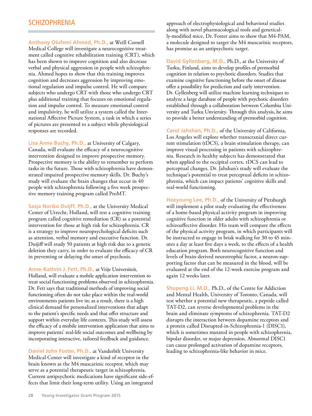#### **SCHIZOPHRENIA**

**Anthony Olufemi Ahmed, Ph.D.,** at Weill Cornell Medical College will investigate a neurocognitive treatment called cognitive rehabilitation training (CRT), which has been shown to improve cognition and also decrease verbal and physical aggression in people with schizophrenia. Ahmed hopes to show that this training improves cognition and decreases aggression by improving emotional regulation and impulse control. He will compare subjects who undergo CRT with those who undergo CRT plus additional training that focuses on emotional regulation and impulse control. To measure emotional control and impulsivity, he will utilize a system called the International Affective Picture System, a task in which a series of pictures are presented to a subject while physiological responses are recorded.

**Lisa Anne Buchy, Ph.D.,** at University of Calgary, Canada, will evaluate the efficacy of a neurocognitive intervention designed to improve prospective memory. Prospective memory is the ability to remember to perform tasks in the future. Those with schizophrenia have demonstrated impaired prospective memory skills. Dr. Buchy's study will evaluate the brain changes that occur in 40 people with schizophrenia following a five week prospective memory training program called ProMT.

**Sasja Noriko Duijff, Ph.D.,** at the University Medical Center of Utrecht, Holland, will test a cognitive training program called cognitive remediation (CR) as a potential intervention for those at high risk for schizophrenia. CR is a strategy to improve neuropsychological deficits such as attention, verbal memory and executive function. Dr. Duijiff will study 50 patients at high risk due to a genetic deletion they carry, in order to evaluate the efficacy of CR in preventing or delaying the onset of psychosis.

**Anne-Kathrin J. Fett, Ph.D.,** at Vrije Universiteit, Holland, will evaluate a mobile application intervention to treat social functioning problems observed in schizophrenia. Dr. Fett says that traditional methods of improving social functioning often do not take place within the real-world environments patients live in; as a result, there is a high clinical demand for personalized interventions that adapt to the patient's specific needs and that offer structure and support within everyday life contexts. This study will assess the efficacy of a mobile intervention application that aims to improve patients' real-life social outcomes and wellbeing by incorporating interactive, tailored feedback and guidance.

**Daniel John Foster, Ph.D.,** at Vanderbilt University Medical Center will investigate a kind of receptor in the brain known as the M4 muscarinic receptor, which may serve as a potential therapeutic target in schizophrenia. Current antipsychotic medications have significant side-effects that limit their long-term utility. Using an integrated

approach of electrophysiological and behavioral studies along with novel pharmacological tools and genetically-modified mice, Dr. Foster aims to show that M4-PAM, a molecule designed to target the M4 muscarinic receptors, has promise as an antipsychotic target.

**David Gyllenberg, M.D.,** Ph.D., at the University of Turku, Finland, aims to develop profiles of premorbid cognition in relation to psychotic disorders. Studies that examine cognitive functioning before the onset of disease offer a possibility for prediction and early intervention. Dr. Gyllenberg will utilize machine learning techniques to analyze a large database of people with psychotic disorders established through a collaboration between Columbia University and Turku Unviersity. Through this analysis, he aims to provide a better understanding of premorbid cognition.

**Carol Jahshan, Ph.D.,** of the University of California, Los Angeles will explore whether transcranial direct current stimulation (tDCS), a brain stimulation therapy, can improve visual processing in patients with schizophrenia. Research in healthy subjects has demonstrated that when applied to the occipital cortex, tDCS can lead to perceptual changes. Dr. Jahshan's study will evaluate the technique's potential to treat perceptual deficits in schizophrenia, which can impact patients' cognitive skills and real-world functioning.

**Heeyoung Lee, Ph.D.,** of the University of Pittsburgh will implement a pilot study evaluating the effectiveness of a home-based physical activity program in improving cognitive function in older adults with schizophrenia or schizoaffective disorder. His team will compare the effects of the physical activity program, in which participants will be instructed to engage in brisk walking for 30 to 45 minutes a day at least five days a week, to the effects of a health education program. Both neurocognitive function and levels of brain-derived neurotrophic factor, a neuron-supporting factor that can be measured in the blood, will be evaluated at the end of the 12-week exercise program and again 12 weeks later.

**Shupeng Li, M.D.,** Ph.D., of the Centre for Addiction and Mental Health, University of Toronto, Canada, will test whether a potential new therapeutic, a peptide called TAT-D2, can reverse developmental problems in the brain and eliminate symptoms of schizophrenia. TAT-D2 disrupts the interaction between dopamine receptors and a protein called Disrupted-in-Schizophrenia-1 (DISC1), which is sometimes mutated in people with schizophrenia, bipolar disorder, or major depression. Abnormal DISC1 can cause prolonged activation of dopamine receptors, leading to schizophrenia-like behavior in mice.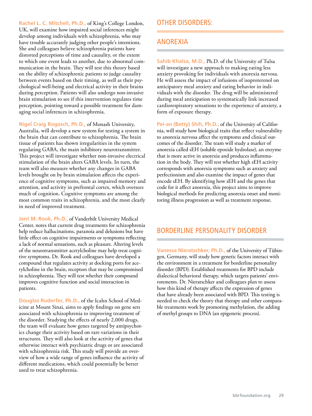**Rachel L. C. Mitchell, Ph.D.,** of King's College London, UK, will examine how impaired social inferences might develop among individuals with schizophrenia, who may have trouble accurately judging other people's intentions. She and colleagues believe schizophrenia patients have distorted perceptions of time and causality, or the extent to which one event leads to another, due to abnormal communication in the brain. They will test this theory based on the ability of schizophrenic patients to judge causality between events based on their timing, as well as their psychological well-being and electrical activity in their brains during perception. Patients will also undergo non-invasive brain stimulation to see if this intervention regulates time perception, pointing toward a possible treatment for damaging social inferences in schizophrenia.

**Nigel Craig Rogasch, Ph.D.,** of Monash University, Australia, will develop a new system for testing a system in the brain that can contribute to schizophrenia. The brain tissue of patients has shown irregularities in the system regulating GABA, the main inhibitory neurotransmitter. This project will investigate whether non-invasive electrical stimulation of the brain alters GABA levels. In turn, the team will also measure whether any changes in GABA levels brought on by brain stimulation affects the experience of cognitive symptoms, such as impaired memory and attention, and activity in prefrontal cortex, which oversees much of cognition. Cognitive symptoms are among the most common traits in schizophrenia, and the most clearly in need of improved treatment.

**Jerri M. Rook, Ph.D.,** of Vanderbilt University Medical Center, notes that current drug treatments for schizophrenia help reduce hallucinations, paranoia and delusions but have little effect on cognitive impairments or symptoms reflecting a lack of normal sensations, such as pleasure. Altering levels of the neurotransmitter acetylcholine may help treat cognitive symptoms. Dr. Rook and colleagues have developed a compound that regulates activity at docking ports for acetylcholine in the brain, receptors that may be compromised in schizophrenia. They will test whether their compound improves cognitive function and social interaction in patients.

**Douglas Ruderfer, Ph.D.,** of the Icahn School of Medicine at Mount Sinai, aims to apply findings on gene sets associated with schizophrenia to improving treatment of the disorder. Studying the effects of nearly 2,000 drugs, the team will evaluate how genes targeted by antipsychotics change their activity based on rare variations in their structures. They will also look at the activity of genes that otherwise interact with psychiatric drugs or are associated with schizophrenia risk. This study will provide an overview of how a wide range of genes influence the activity of different medications, which could potentially be better used to treat schizophrenia.

#### OTHER DISORDERS:

#### ANOREXIA

**Sahib Khalsa, M.D.,** Ph.D. of the University of Tulsa will investigate a new approach to making eating less anxiety provoking for individuals with anorexia nervosa. He will assess the impact of infusions of isoproterenol on anticipatory meal anxiety and eating behavior in individuals with the disorder. The drug will be administered during meal anticipation to systematically link increased cardiorespiratory sensations to the experience of anxiety, a form of exposure therapy.

**Pei-an (Betty) Shih, Ph.D.,** of the University of California, will study how biological traits that reflect vulnerability to anorexia nervosa affect the symptoms and clinical outcomes of the disorder. The team will study a marker of anorexia called sEH (soluble epoxide hydrolase), an enzyme that is more active in anorexia and produces inflammation in the body. They will test whether high sEH activity corresponds with anorexia symptoms such as anxiety and perfectionism and also examine the impact of genes that encode sEH. By identifying how sEH and the genes that code for it affect anorexia, this project aims to improve biological methods for predicting anorexia onset and monitoring illness progression as well as treatment response.

#### BORDERLINE PERSONALITY DISORDER

**Vanessa Nieratschker, Ph.D.,** of the University of Tübingen, Germany, will study how genetic factors interact with the environment in a treatment for borderline personality disorder (BPD). Established treatments for BPD include dialectical behavioral therapy, which targets patients' environments. Dr. Nieratschker and colleagues plan to assess how this kind of therapy affects the expression of genes that have already been associated with BPD. This testing is needed to check the theory that therapy and other comparable treatments work by promoting methylation, the adding of methyl groups to DNA (an epigenetic process).